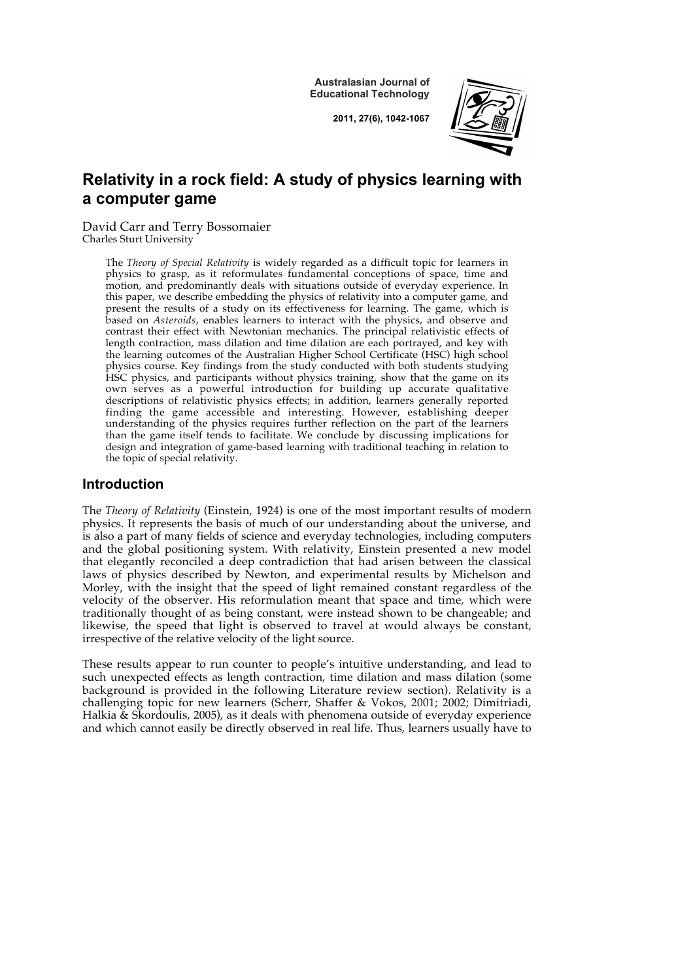**Australasian Journal of Educational Technology**

**2011, 27(6), 1042-1067**



# **Relativity in a rock field: A study of physics learning with a computer game**

David Carr and Terry Bossomaier Charles Sturt University

> The *Theory of Special Relativity* is widely regarded as a difficult topic for learners in physics to grasp, as it reformulates fundamental conceptions of space, time and motion, and predominantly deals with situations outside of everyday experience. In this paper, we describe embedding the physics of relativity into a computer game, and present the results of a study on its effectiveness for learning. The game, which is based on *Asteroids*, enables learners to interact with the physics, and observe and contrast their effect with Newtonian mechanics. The principal relativistic effects of length contraction, mass dilation and time dilation are each portrayed, and key with the learning outcomes of the Australian Higher School Certificate (HSC) high school physics course. Key findings from the study conducted with both students studying HSC physics, and participants without physics training, show that the game on its own serves as a powerful introduction for building up accurate qualitative descriptions of relativistic physics effects; in addition, learners generally reported finding the game accessible and interesting. However, establishing deeper understanding of the physics requires further reflection on the part of the learners than the game itself tends to facilitate. We conclude by discussing implications for design and integration of game-based learning with traditional teaching in relation to the topic of special relativity.

### **Introduction**

The *Theory of Relativity* (Einstein, 1924) is one of the most important results of modern physics. It represents the basis of much of our understanding about the universe, and is also a part of many fields of science and everyday technologies, including computers and the global positioning system. With relativity, Einstein presented a new model that elegantly reconciled a deep contradiction that had arisen between the classical laws of physics described by Newton, and experimental results by Michelson and Morley, with the insight that the speed of light remained constant regardless of the velocity of the observer. His reformulation meant that space and time, which were traditionally thought of as being constant, were instead shown to be changeable; and likewise, the speed that light is observed to travel at would always be constant, irrespective of the relative velocity of the light source.

These results appear to run counter to people's intuitive understanding, and lead to such unexpected effects as length contraction, time dilation and mass dilation (some background is provided in the following Literature review section). Relativity is a challenging topic for new learners (Scherr, Shaffer & Vokos, 2001; 2002; Dimitriadi, Halkia & Skordoulis, 2005), as it deals with phenomena outside of everyday experience and which cannot easily be directly observed in real life. Thus, learners usually have to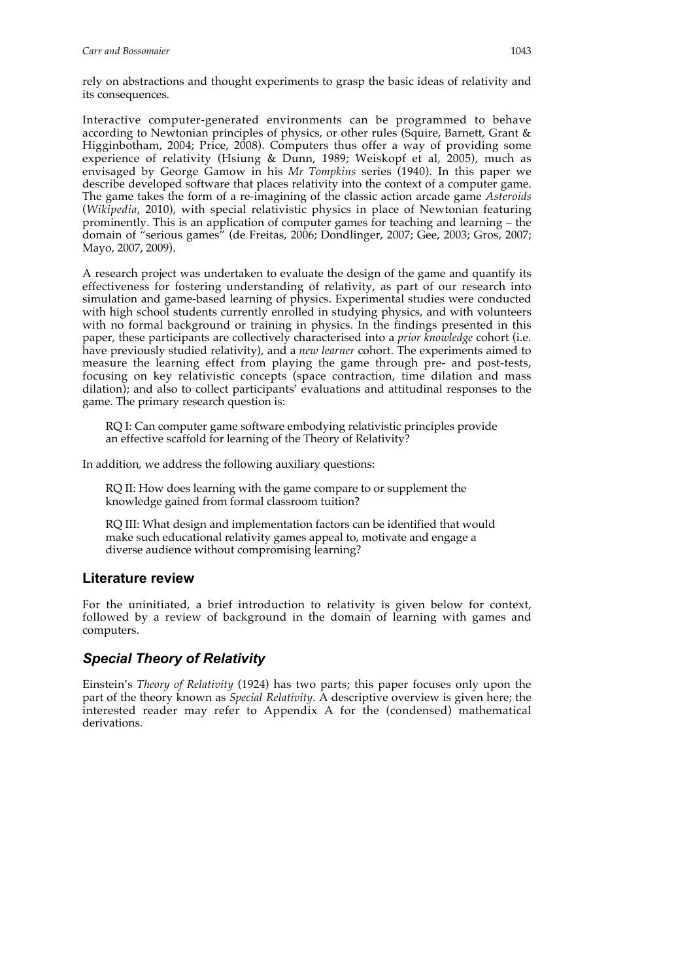rely on abstractions and thought experiments to grasp the basic ideas of relativity and its consequences.

Interactive computer-generated environments can be programmed to behave according to Newtonian principles of physics, or other rules (Squire, Barnett, Grant & Higginbotham, 2004; Price, 2008). Computers thus offer a way of providing some experience of relativity (Hsiung & Dunn, 1989; Weiskopf et al, 2005), much as envisaged by George Gamow in his *Mr Tompkins* series (1940). In this paper we describe developed software that places relativity into the context of a computer game. The game takes the form of a re-imagining of the classic action arcade game *Asteroids* (*Wikipedia*, 2010), with special relativistic physics in place of Newtonian featuring prominently. This is an application of computer games for teaching and learning – the domain of "serious games" (de Freitas, 2006; Dondlinger, 2007; Gee, 2003; Gros, 2007; Mayo, 2007, 2009).

A research project was undertaken to evaluate the design of the game and quantify its effectiveness for fostering understanding of relativity, as part of our research into simulation and game-based learning of physics. Experimental studies were conducted with high school students currently enrolled in studying physics, and with volunteers with no formal background or training in physics. In the findings presented in this paper, these participants are collectively characterised into a *prior knowledge* cohort (i.e. have previously studied relativity), and a *new learner* cohort. The experiments aimed to measure the learning effect from playing the game through pre- and post-tests, focusing on key relativistic concepts (space contraction, time dilation and mass dilation); and also to collect participants' evaluations and attitudinal responses to the game. The primary research question is:

RQ I: Can computer game software embodying relativistic principles provide an effective scaffold for learning of the Theory of Relativity?

In addition, we address the following auxiliary questions:

RQ II: How does learning with the game compare to or supplement the knowledge gained from formal classroom tuition?

RQ III: What design and implementation factors can be identified that would make such educational relativity games appeal to, motivate and engage a diverse audience without compromising learning?

### **Literature review**

For the uninitiated, a brief introduction to relativity is given below for context, followed by a review of background in the domain of learning with games and computers.

# *Special Theory of Relativity*

Einstein's *Theory of Relativity* (1924) has two parts; this paper focuses only upon the part of the theory known as *Special Relativity*. A descriptive overview is given here; the interested reader may refer to Appendix A for the (condensed) mathematical derivations.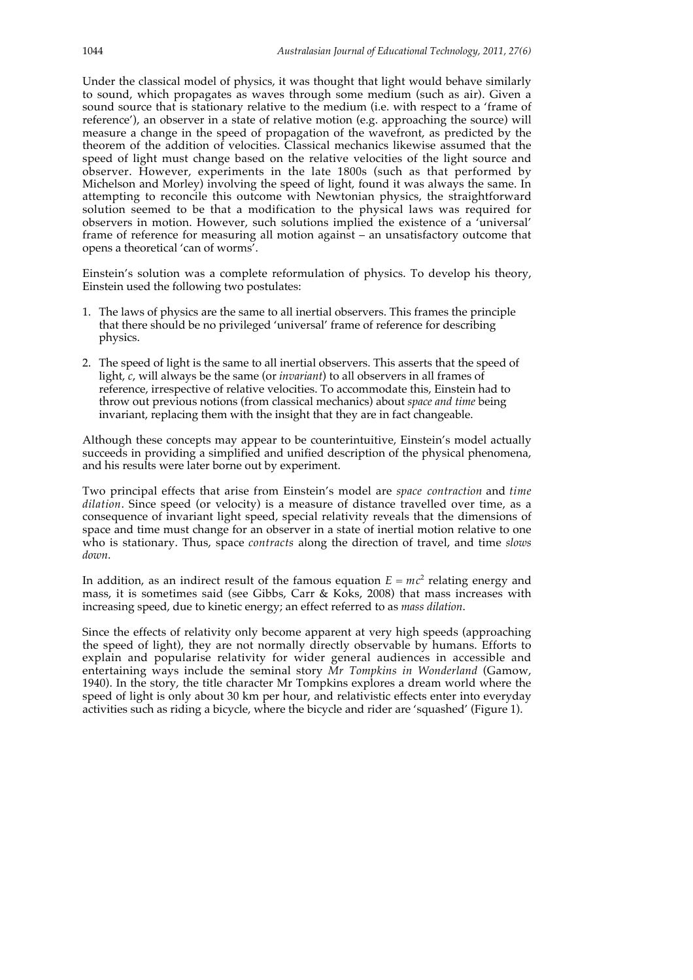Under the classical model of physics, it was thought that light would behave similarly to sound, which propagates as waves through some medium (such as air). Given a sound source that is stationary relative to the medium (i.e. with respect to a 'frame of reference'), an observer in a state of relative motion (e.g. approaching the source) will measure a change in the speed of propagation of the wavefront, as predicted by the theorem of the addition of velocities. Classical mechanics likewise assumed that the speed of light must change based on the relative velocities of the light source and observer. However, experiments in the late 1800s (such as that performed by Michelson and Morley) involving the speed of light, found it was always the same. In attempting to reconcile this outcome with Newtonian physics, the straightforward solution seemed to be that a modification to the physical laws was required for observers in motion. However, such solutions implied the existence of a 'universal' frame of reference for measuring all motion against – an unsatisfactory outcome that opens a theoretical 'can of worms'.

Einstein's solution was a complete reformulation of physics. To develop his theory, Einstein used the following two postulates:

- 1. The laws of physics are the same to all inertial observers. This frames the principle that there should be no privileged 'universal' frame of reference for describing physics.
- 2. The speed of light is the same to all inertial observers. This asserts that the speed of light, *c*, will always be the same (or *invariant*) to all observers in all frames of reference, irrespective of relative velocities. To accommodate this, Einstein had to throw out previous notions (from classical mechanics) about *space and time* being invariant, replacing them with the insight that they are in fact changeable.

Although these concepts may appear to be counterintuitive, Einstein's model actually succeeds in providing a simplified and unified description of the physical phenomena, and his results were later borne out by experiment.

Two principal effects that arise from Einstein's model are *space contraction* and *time dilation*. Since speed (or velocity) is a measure of distance travelled over time, as a consequence of invariant light speed, special relativity reveals that the dimensions of space and time must change for an observer in a state of inertial motion relative to one who is stationary. Thus, space *contracts* along the direction of travel, and time *slows down*.

In addition, as an indirect result of the famous equation  $E = mc^2$  relating energy and mass, it is sometimes said (see Gibbs, Carr & Koks, 2008) that mass increases with increasing speed, due to kinetic energy; an effect referred to as *mass dilation*.

Since the effects of relativity only become apparent at very high speeds (approaching the speed of light), they are not normally directly observable by humans. Efforts to explain and popularise relativity for wider general audiences in accessible and entertaining ways include the seminal story *Mr Tompkins in Wonderland* (Gamow, 1940). In the story, the title character Mr Tompkins explores a dream world where the speed of light is only about 30 km per hour, and relativistic effects enter into everyday activities such as riding a bicycle, where the bicycle and rider are 'squashed' (Figure 1).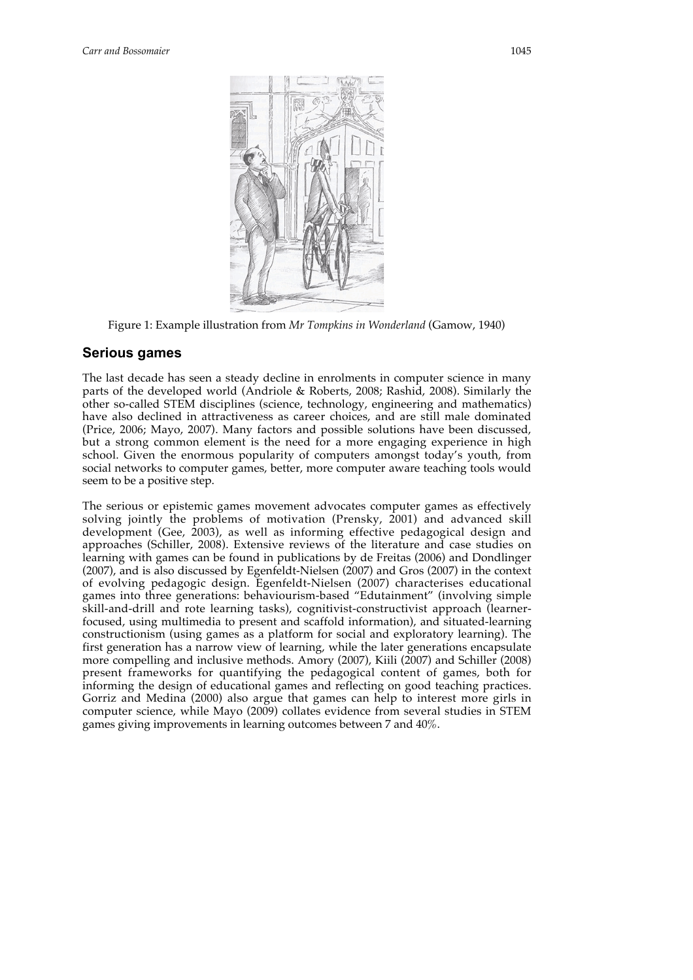

Figure 1: Example illustration from *Mr Tompkins in Wonderland* (Gamow, 1940)

### **Serious games**

The last decade has seen a steady decline in enrolments in computer science in many parts of the developed world (Andriole & Roberts, 2008; Rashid, 2008). Similarly the other so-called STEM disciplines (science, technology, engineering and mathematics) have also declined in attractiveness as career choices, and are still male dominated (Price, 2006; Mayo, 2007). Many factors and possible solutions have been discussed, but a strong common element is the need for a more engaging experience in high school. Given the enormous popularity of computers amongst today's youth, from social networks to computer games, better, more computer aware teaching tools would seem to be a positive step.

The serious or epistemic games movement advocates computer games as effectively solving jointly the problems of motivation (Prensky, 2001) and advanced skill development (Gee, 2003), as well as informing effective pedagogical design and approaches (Schiller, 2008). Extensive reviews of the literature and case studies on learning with games can be found in publications by de Freitas (2006) and Dondlinger (2007), and is also discussed by Egenfeldt-Nielsen (2007) and Gros (2007) in the context of evolving pedagogic design. Egenfeldt-Nielsen (2007) characterises educational games into three generations: behaviourism-based "Edutainment" (involving simple skill-and-drill and rote learning tasks), cognitivist-constructivist approach (learnerfocused, using multimedia to present and scaffold information), and situated-learning constructionism (using games as a platform for social and exploratory learning). The first generation has a narrow view of learning, while the later generations encapsulate more compelling and inclusive methods. Amory (2007), Kiili (2007) and Schiller (2008) present frameworks for quantifying the pedagogical content of games, both for informing the design of educational games and reflecting on good teaching practices. Gorriz and Medina (2000) also argue that games can help to interest more girls in computer science, while Mayo (2009) collates evidence from several studies in STEM games giving improvements in learning outcomes between 7 and 40%.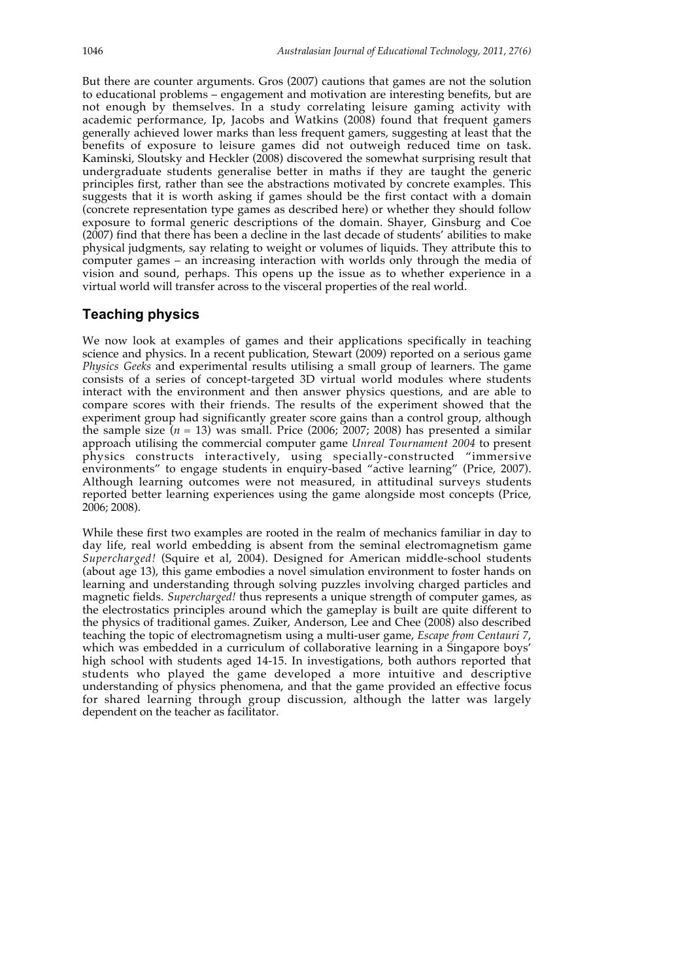But there are counter arguments. Gros (2007) cautions that games are not the solution to educational problems – engagement and motivation are interesting benefits, but are not enough by themselves. In a study correlating leisure gaming activity with academic performance, Ip, Jacobs and Watkins (2008) found that frequent gamers generally achieved lower marks than less frequent gamers, suggesting at least that the benefits of exposure to leisure games did not outweigh reduced time on task. Kaminski, Sloutsky and Heckler (2008) discovered the somewhat surprising result that undergraduate students generalise better in maths if they are taught the generic principles first, rather than see the abstractions motivated by concrete examples. This suggests that it is worth asking if games should be the first contact with a domain (concrete representation type games as described here) or whether they should follow exposure to formal generic descriptions of the domain. Shayer, Ginsburg and Coe (2007) find that there has been a decline in the last decade of students' abilities to make physical judgments, say relating to weight or volumes of liquids. They attribute this to computer games – an increasing interaction with worlds only through the media of vision and sound, perhaps. This opens up the issue as to whether experience in a virtual world will transfer across to the visceral properties of the real world.

# **Teaching physics**

We now look at examples of games and their applications specifically in teaching science and physics. In a recent publication, Stewart (2009) reported on a serious game *Physics Geeks* and experimental results utilising a small group of learners. The game consists of a series of concept-targeted 3D virtual world modules where students interact with the environment and then answer physics questions, and are able to compare scores with their friends. The results of the experiment showed that the experiment group had significantly greater score gains than a control group, although the sample size  $(n = 13)$  was small. Price (2006; 2007; 2008) has presented a similar approach utilising the commercial computer game *Unreal Tournament 2004* to present physics constructs interactively, using specially-constructed "immersive environments" to engage students in enquiry-based "active learning" (Price, 2007). Although learning outcomes were not measured, in attitudinal surveys students reported better learning experiences using the game alongside most concepts (Price, 2006; 2008).

While these first two examples are rooted in the realm of mechanics familiar in day to day life, real world embedding is absent from the seminal electromagnetism game *Supercharged!* (Squire et al, 2004). Designed for American middle-school students (about age 13), this game embodies a novel simulation environment to foster hands on learning and understanding through solving puzzles involving charged particles and magnetic fields. *Supercharged!* thus represents a unique strength of computer games, as the electrostatics principles around which the gameplay is built are quite different to the physics of traditional games. Zuiker, Anderson, Lee and Chee (2008) also described teaching the topic of electromagnetism using a multi-user game, *Escape from Centauri 7*, which was embedded in a curriculum of collaborative learning in a Singapore boys' high school with students aged 14-15. In investigations, both authors reported that students who played the game developed a more intuitive and descriptive understanding of physics phenomena, and that the game provided an effective focus for shared learning through group discussion, although the latter was largely dependent on the teacher as facilitator.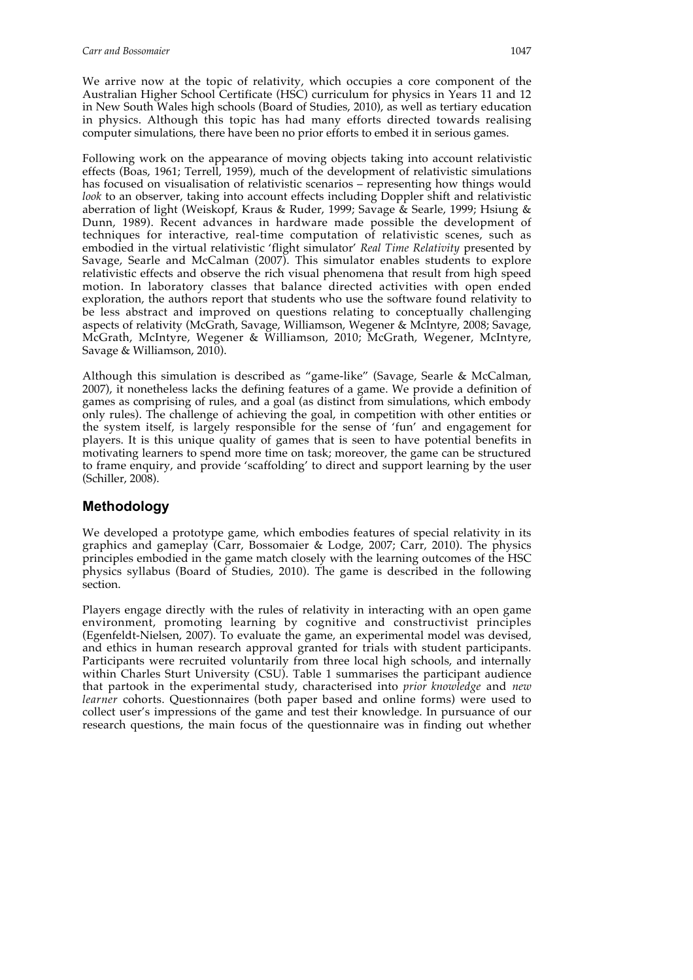We arrive now at the topic of relativity, which occupies a core component of the Australian Higher School Certificate (HSC) curriculum for physics in Years 11 and 12 in New South Wales high schools (Board of Studies, 2010), as well as tertiary education in physics. Although this topic has had many efforts directed towards realising computer simulations, there have been no prior efforts to embed it in serious games.

Following work on the appearance of moving objects taking into account relativistic effects (Boas, 1961; Terrell, 1959), much of the development of relativistic simulations has focused on visualisation of relativistic scenarios – representing how things would *look* to an observer, taking into account effects including Doppler shift and relativistic aberration of light (Weiskopf, Kraus & Ruder, 1999; Savage & Searle, 1999; Hsiung & Dunn, 1989). Recent advances in hardware made possible the development of techniques for interactive, real-time computation of relativistic scenes, such as embodied in the virtual relativistic 'flight simulator' *Real Time Relativity* presented by Savage, Searle and McCalman (2007). This simulator enables students to explore relativistic effects and observe the rich visual phenomena that result from high speed motion. In laboratory classes that balance directed activities with open ended exploration, the authors report that students who use the software found relativity to be less abstract and improved on questions relating to conceptually challenging aspects of relativity (McGrath, Savage, Williamson, Wegener & McIntyre, 2008; Savage, McGrath, McIntyre, Wegener & Williamson, 2010; McGrath, Wegener, McIntyre, Savage & Williamson, 2010).

Although this simulation is described as "game-like" (Savage, Searle & McCalman, 2007), it nonetheless lacks the defining features of a game. We provide a definition of games as comprising of rules, and a goal (as distinct from simulations, which embody only rules). The challenge of achieving the goal, in competition with other entities or the system itself, is largely responsible for the sense of 'fun' and engagement for players. It is this unique quality of games that is seen to have potential benefits in motivating learners to spend more time on task; moreover, the game can be structured to frame enquiry, and provide 'scaffolding' to direct and support learning by the user (Schiller, 2008).

### **Methodology**

We developed a prototype game, which embodies features of special relativity in its graphics and gameplay (Carr, Bossomaier & Lodge, 2007; Carr, 2010). The physics principles embodied in the game match closely with the learning outcomes of the HSC physics syllabus (Board of Studies, 2010). The game is described in the following section.

Players engage directly with the rules of relativity in interacting with an open game environment, promoting learning by cognitive and constructivist principles (Egenfeldt-Nielsen, 2007). To evaluate the game, an experimental model was devised, and ethics in human research approval granted for trials with student participants. Participants were recruited voluntarily from three local high schools, and internally within Charles Sturt University (CSU). Table 1 summarises the participant audience that partook in the experimental study, characterised into *prior knowledge* and *new learner* cohorts. Questionnaires (both paper based and online forms) were used to collect user's impressions of the game and test their knowledge. In pursuance of our research questions, the main focus of the questionnaire was in finding out whether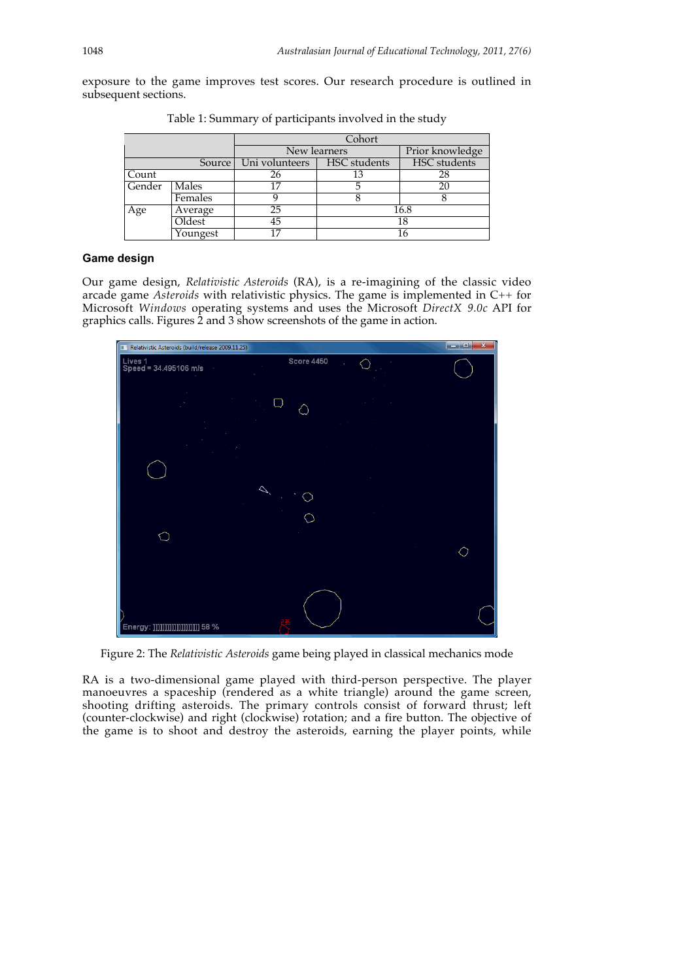exposure to the game improves test scores. Our research procedure is outlined in subsequent sections.

|        |          | Cohort         |                 |              |  |  |  |  |
|--------|----------|----------------|-----------------|--------------|--|--|--|--|
|        |          | New learners   | Prior knowledge |              |  |  |  |  |
|        | Source   | Uni volunteers | HSC students    | HSC students |  |  |  |  |
| Count  |          | 26             | 13              | 28           |  |  |  |  |
| Gender | Males    | 17             |                 | 20           |  |  |  |  |
|        | Females  |                |                 |              |  |  |  |  |
| Age    | Average  | 25             |                 | 16.8         |  |  |  |  |
|        | Oldest   | 45             | 18              |              |  |  |  |  |
|        | Youngest | 17             | 16              |              |  |  |  |  |

Table 1: Summary of participants involved in the study

### **Game design**

Our game design, *Relativistic Asteroids* (RA), is a re-imagining of the classic video arcade game *Asteroids* with relativistic physics. The game is implemented in C++ for Microsoft *Windows* operating systems and uses the Microsoft *DirectX 9.0c* API for graphics calls. Figures 2 and 3 show screenshots of the game in action.



Figure 2: The *Relativistic Asteroids* game being played in classical mechanics mode

RA is a two-dimensional game played with third-person perspective. The player manoeuvres a spaceship (rendered as a white triangle) around the game screen, shooting drifting asteroids. The primary controls consist of forward thrust; left (counter-clockwise) and right (clockwise) rotation; and a fire button. The objective of the game is to shoot and destroy the asteroids, earning the player points, while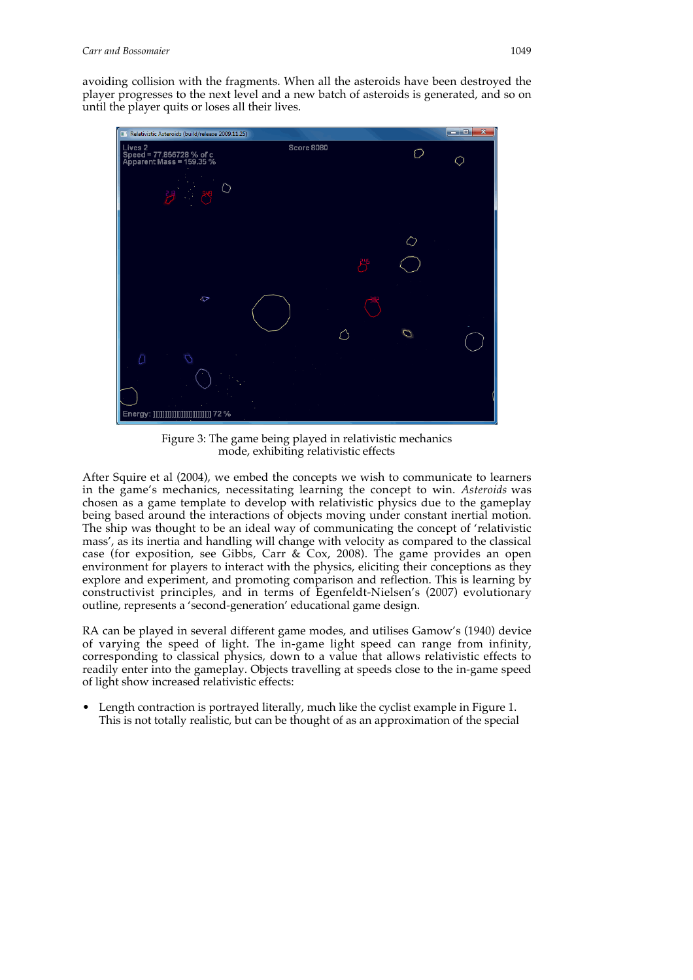avoiding collision with the fragments. When all the asteroids have been destroyed the player progresses to the next level and a new batch of asteroids is generated, and so on until the player quits or loses all their lives.



Figure 3: The game being played in relativistic mechanics mode, exhibiting relativistic effects

After Squire et al (2004), we embed the concepts we wish to communicate to learners in the game's mechanics, necessitating learning the concept to win. *Asteroids* was chosen as a game template to develop with relativistic physics due to the gameplay being based around the interactions of objects moving under constant inertial motion. The ship was thought to be an ideal way of communicating the concept of 'relativistic mass', as its inertia and handling will change with velocity as compared to the classical case (for exposition, see Gibbs, Carr & Cox, 2008). The game provides an open environment for players to interact with the physics, eliciting their conceptions as they explore and experiment, and promoting comparison and reflection. This is learning by constructivist principles, and in terms of Egenfeldt-Nielsen's (2007) evolutionary outline, represents a 'second-generation' educational game design.

RA can be played in several different game modes, and utilises Gamow's (1940) device of varying the speed of light. The in-game light speed can range from infinity, corresponding to classical physics, down to a value that allows relativistic effects to readily enter into the gameplay. Objects travelling at speeds close to the in-game speed of light show increased relativistic effects:

• Length contraction is portrayed literally, much like the cyclist example in Figure 1. This is not totally realistic, but can be thought of as an approximation of the special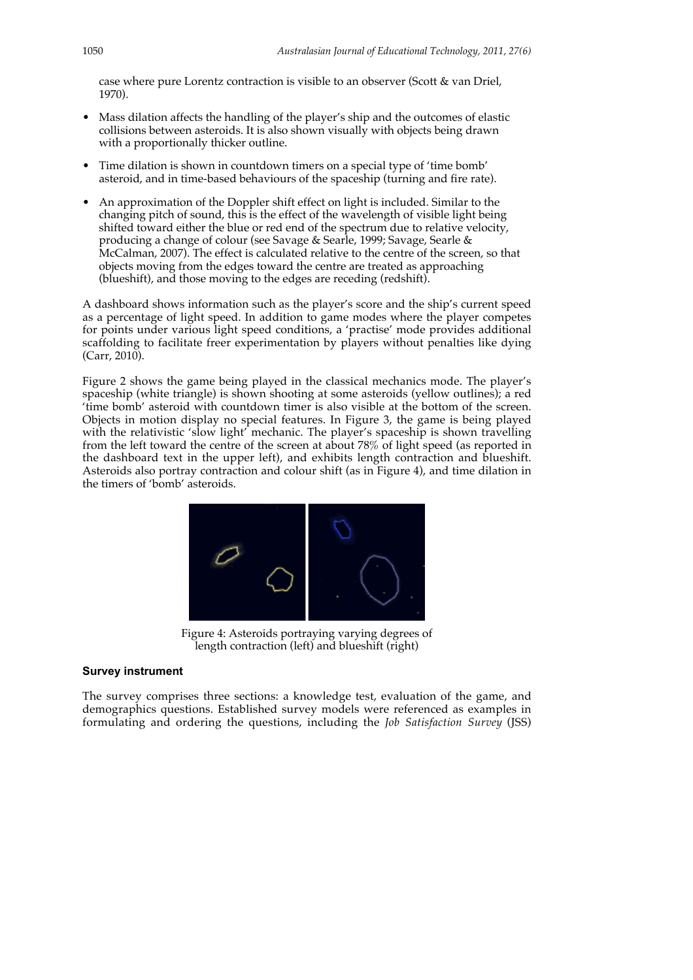case where pure Lorentz contraction is visible to an observer (Scott & van Driel, 1970).

- Mass dilation affects the handling of the player's ship and the outcomes of elastic collisions between asteroids. It is also shown visually with objects being drawn with a proportionally thicker outline.
- Time dilation is shown in countdown timers on a special type of 'time bomb' asteroid, and in time-based behaviours of the spaceship (turning and fire rate).
- An approximation of the Doppler shift effect on light is included. Similar to the changing pitch of sound, this is the effect of the wavelength of visible light being shifted toward either the blue or red end of the spectrum due to relative velocity, producing a change of colour (see Savage & Searle, 1999; Savage, Searle & McCalman, 2007). The effect is calculated relative to the centre of the screen, so that objects moving from the edges toward the centre are treated as approaching (blueshift), and those moving to the edges are receding (redshift).

A dashboard shows information such as the player's score and the ship's current speed as a percentage of light speed. In addition to game modes where the player competes for points under various light speed conditions, a 'practise' mode provides additional scaffolding to facilitate freer experimentation by players without penalties like dying (Carr, 2010).

Figure 2 shows the game being played in the classical mechanics mode. The player's spaceship (white triangle) is shown shooting at some asteroids (yellow outlines); a red 'time bomb' asteroid with countdown timer is also visible at the bottom of the screen. Objects in motion display no special features. In Figure 3, the game is being played with the relativistic 'slow light' mechanic. The player's spaceship is shown travelling from the left toward the centre of the screen at about  $78\%$  of light speed (as reported in the dashboard text in the upper left), and exhibits length contraction and blueshift. Asteroids also portray contraction and colour shift (as in Figure 4), and time dilation in the timers of 'bomb' asteroids.



Figure 4: Asteroids portraying varying degrees of length contraction (left) and blueshift (right)

#### **Survey instrument**

The survey comprises three sections: a knowledge test, evaluation of the game, and demographics questions. Established survey models were referenced as examples in formulating and ordering the questions, including the *Job Satisfaction Survey* (JSS)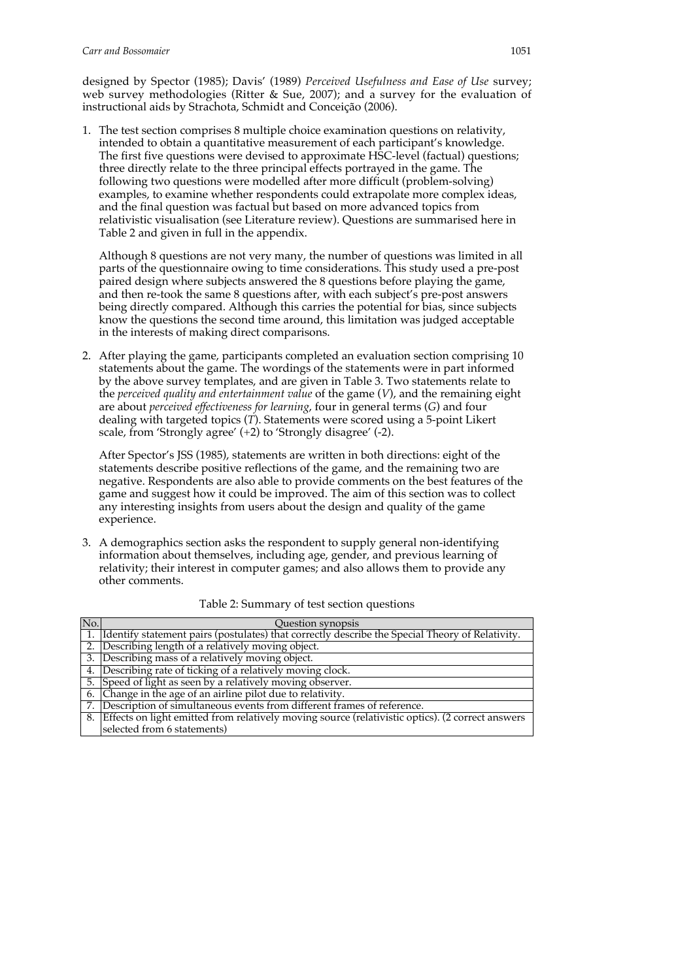designed by Spector (1985); Davis' (1989) *Perceived Usefulness and Ease of Use* survey; web survey methodologies (Ritter & Sue, 2007); and a survey for the evaluation of instructional aids by Strachota, Schmidt and Conceição (2006).

1. The test section comprises 8 multiple choice examination questions on relativity, intended to obtain a quantitative measurement of each participant's knowledge. The first five questions were devised to approximate HSC-level (factual) questions; three directly relate to the three principal effects portrayed in the game. The following two questions were modelled after more difficult (problem-solving) examples, to examine whether respondents could extrapolate more complex ideas, and the final question was factual but based on more advanced topics from relativistic visualisation (see Literature review). Questions are summarised here in Table 2 and given in full in the appendix.

Although 8 questions are not very many, the number of questions was limited in all parts of the questionnaire owing to time considerations. This study used a pre-post paired design where subjects answered the 8 questions before playing the game, and then re-took the same 8 questions after, with each subject's pre-post answers being directly compared. Although this carries the potential for bias, since subjects know the questions the second time around, this limitation was judged acceptable in the interests of making direct comparisons.

2. After playing the game, participants completed an evaluation section comprising 10 statements about the game. The wordings of the statements were in part informed by the above survey templates, and are given in Table 3. Two statements relate to the *perceived quality and entertainment value* of the game (*V*), and the remaining eight are about *perceived effectiveness for learning*, four in general terms (*G*) and four dealing with targeted topics (*T*). Statements were scored using a 5-point Likert scale, from 'Strongly agree' (+2) to 'Strongly disagree' (-2).

After Spector's JSS (1985), statements are written in both directions: eight of the statements describe positive reflections of the game, and the remaining two are negative. Respondents are also able to provide comments on the best features of the game and suggest how it could be improved. The aim of this section was to collect any interesting insights from users about the design and quality of the game experience.

3. A demographics section asks the respondent to supply general non-identifying information about themselves, including age, gender, and previous learning of relativity; their interest in computer games; and also allows them to provide any other comments.

| No. | <b>Ouestion synopsis</b>                                                                         |
|-----|--------------------------------------------------------------------------------------------------|
| 1.  | Identify statement pairs (postulates) that correctly describe the Special Theory of Relativity.  |
| 2.  | Describing length of a relatively moving object.                                                 |
| 3.  | Describing mass of a relatively moving object.                                                   |
| 4.  | Describing rate of ticking of a relatively moving clock.                                         |
| 5.  | Speed of light as seen by a relatively moving observer.                                          |
|     | 6. Change in the age of an airline pilot due to relativity.                                      |
|     | Description of simultaneous events from different frames of reference.                           |
| 8.  | Effects on light emitted from relatively moving source (relativistic optics). (2 correct answers |
|     | selected from 6 statements)                                                                      |

#### Table 2: Summary of test section questions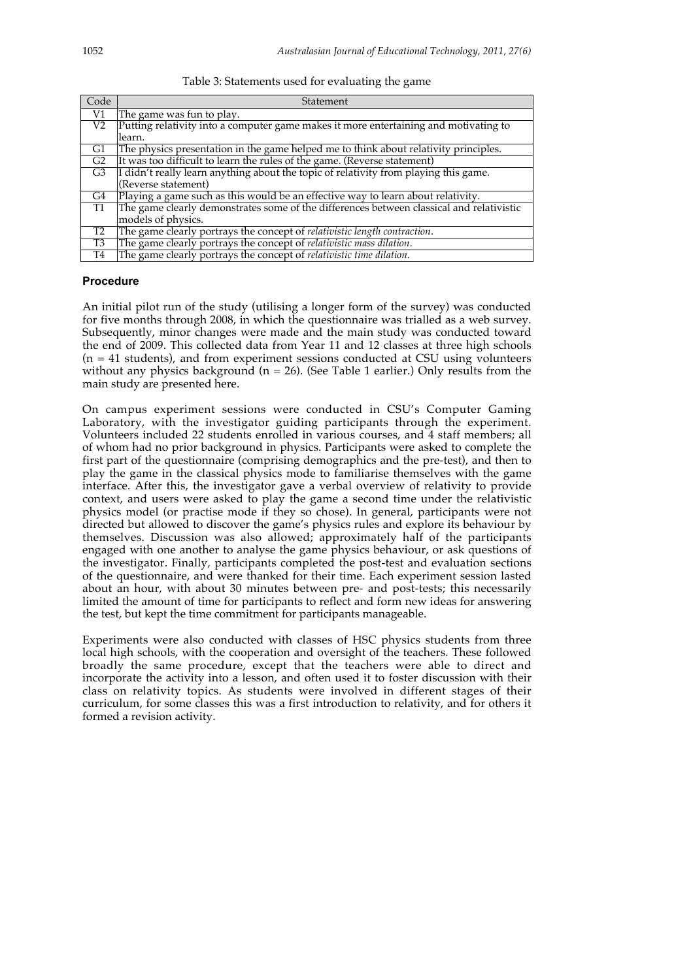| Table 3: Statements used for evaluating the game |  |  |
|--------------------------------------------------|--|--|
|                                                  |  |  |

| Code            | Statement                                                                                |
|-----------------|------------------------------------------------------------------------------------------|
| V1              | The game was fun to play.                                                                |
| $\overline{V2}$ | Putting relativity into a computer game makes it more entertaining and motivating to     |
|                 | learn.                                                                                   |
| G1              | The physics presentation in the game helped me to think about relativity principles.     |
| G <sub>2</sub>  | It was too difficult to learn the rules of the game. (Reverse statement)                 |
| G <sub>3</sub>  | I didn't really learn anything about the topic of relativity from playing this game.     |
|                 | (Reverse statement)                                                                      |
| G4              | Playing a game such as this would be an effective way to learn about relativity.         |
| <b>T1</b>       | The game clearly demonstrates some of the differences between classical and relativistic |
|                 | models of physics.                                                                       |
| T2              | The game clearly portrays the concept of relativistic length contraction.                |
| T <sub>3</sub>  | The game clearly portrays the concept of relativistic mass dilation.                     |
| T <sub>4</sub>  | The game clearly portrays the concept of <i>relativistic time dilation</i> .             |

#### **Procedure**

An initial pilot run of the study (utilising a longer form of the survey) was conducted for five months through 2008, in which the questionnaire was trialled as a web survey. Subsequently, minor changes were made and the main study was conducted toward the end of 2009. This collected data from Year 11 and 12 classes at three high schools  $(n = 41$  students), and from experiment sessions conducted at CSU using volunteers without any physics background ( $n = 26$ ). (See Table 1 earlier.) Only results from the main study are presented here.

On campus experiment sessions were conducted in CSU's Computer Gaming Laboratory, with the investigator guiding participants through the experiment. Volunteers included 22 students enrolled in various courses, and 4 staff members; all of whom had no prior background in physics. Participants were asked to complete the first part of the questionnaire (comprising demographics and the pre-test), and then to play the game in the classical physics mode to familiarise themselves with the game interface. After this, the investigator gave a verbal overview of relativity to provide context, and users were asked to play the game a second time under the relativistic physics model (or practise mode if they so chose). In general, participants were not directed but allowed to discover the game's physics rules and explore its behaviour by themselves. Discussion was also allowed; approximately half of the participants engaged with one another to analyse the game physics behaviour, or ask questions of the investigator. Finally, participants completed the post-test and evaluation sections of the questionnaire, and were thanked for their time. Each experiment session lasted about an hour, with about 30 minutes between pre- and post-tests; this necessarily limited the amount of time for participants to reflect and form new ideas for answering the test, but kept the time commitment for participants manageable.

Experiments were also conducted with classes of HSC physics students from three local high schools, with the cooperation and oversight of the teachers. These followed broadly the same procedure, except that the teachers were able to direct and incorporate the activity into a lesson, and often used it to foster discussion with their class on relativity topics. As students were involved in different stages of their curriculum, for some classes this was a first introduction to relativity, and for others it formed a revision activity.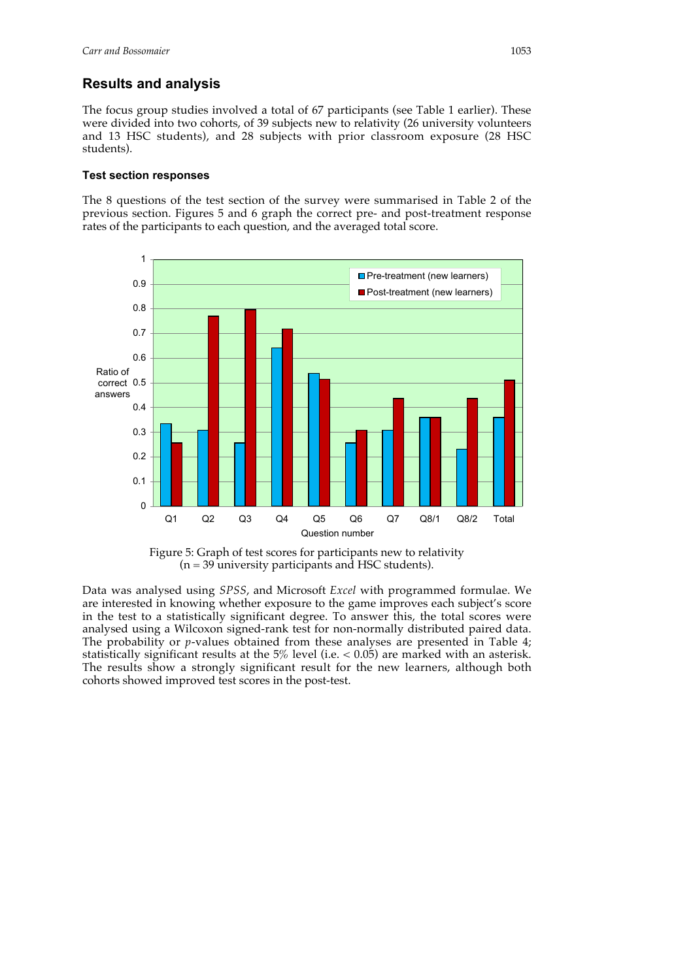## **Results and analysis**

The focus group studies involved a total of 67 participants (see Table 1 earlier). These were divided into two cohorts, of 39 subjects new to relativity (26 university volunteers and 13 HSC students), and 28 subjects with prior classroom exposure (28 HSC students).

#### **Test section responses**

The 8 questions of the test section of the survey were summarised in Table 2 of the previous section. Figures 5 and 6 graph the correct pre- and post-treatment response rates of the participants to each question, and the averaged total score.



Figure 5: Graph of test scores for participants new to relativity  $(n = 39$  university participants and HSC students).

Data was analysed using *SPSS*, and Microsoft *Excel* with programmed formulae. We are interested in knowing whether exposure to the game improves each subject's score in the test to a statistically significant degree. To answer this, the total scores were analysed using a Wilcoxon signed-rank test for non-normally distributed paired data. The probability or *p*-values obtained from these analyses are presented in Table 4; statistically significant results at the  $5\%$  level (i.e.  $< 0.05$ ) are marked with an asterisk. The results show a strongly significant result for the new learners, although both cohorts showed improved test scores in the post-test.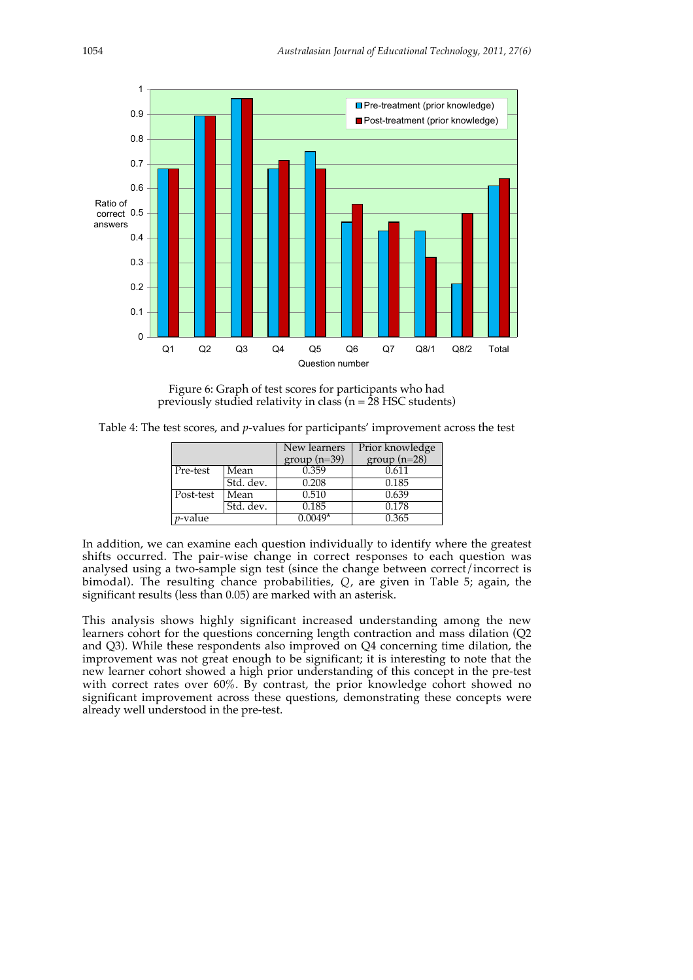

Figure 6: Graph of test scores for participants who had previously studied relativity in class ( $n = 28$  HSC students)

Table 4: The test scores, and *p*-values for participants' improvement across the test

|            |           | New learners  | Prior knowledge |
|------------|-----------|---------------|-----------------|
|            |           | $group(n=39)$ | $group(n=28)$   |
| Pre-test   | Mean      | 0.359         | 0.611           |
|            | Std. dev. | 0.208         | 0.185           |
| Post-test  | Mean      | 0.510         | 0.639           |
|            | Std. dev. | 0.185         | 0.178           |
| $p$ -value |           | $0.0049*$     | 0.365           |

In addition, we can examine each question individually to identify where the greatest shifts occurred. The pair-wise change in correct responses to each question was analysed using a two-sample sign test (since the change between correct/incorrect is bimodal). The resulting chance probabilities, *Q*, are given in Table 5; again, the significant results (less than 0.05) are marked with an asterisk.

This analysis shows highly significant increased understanding among the new learners cohort for the questions concerning length contraction and mass dilation (Q2 and Q3). While these respondents also improved on Q4 concerning time dilation, the improvement was not great enough to be significant; it is interesting to note that the new learner cohort showed a high prior understanding of this concept in the pre-test with correct rates over 60%. By contrast, the prior knowledge cohort showed no significant improvement across these questions, demonstrating these concepts were already well understood in the pre-test.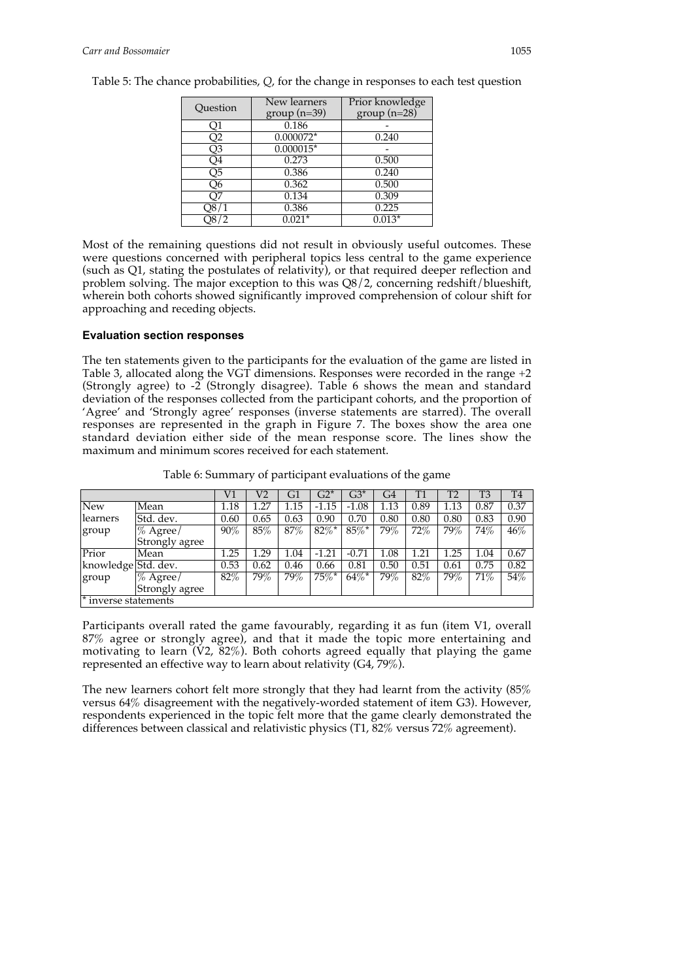| Question       | New learners  | Prior knowledge |  |  |  |
|----------------|---------------|-----------------|--|--|--|
|                | $group(n=39)$ | $group(n=28)$   |  |  |  |
| Q1             | 0.186         |                 |  |  |  |
| Q <sub>2</sub> | $0.000072*$   | 0.240           |  |  |  |
| Q3             | $0.000015*$   |                 |  |  |  |
| Q4             | 0.273         | 0.500           |  |  |  |
| Q5             | 0.386         | 0.240           |  |  |  |
| О6             | 0.362         | 0.500           |  |  |  |
|                | 0.134         | 0.309           |  |  |  |
|                | 0.386         | 0.225           |  |  |  |
|                | $0.021*$      | $0.013*$        |  |  |  |
|                |               |                 |  |  |  |

Table 5: The chance probabilities, *Q*, for the change in responses to each test question

Most of the remaining questions did not result in obviously useful outcomes. These were questions concerned with peripheral topics less central to the game experience (such as Q1, stating the postulates of relativity), or that required deeper reflection and problem solving. The major exception to this was Q8/2, concerning redshift/blueshift, wherein both cohorts showed significantly improved comprehension of colour shift for approaching and receding objects.

#### **Evaluation section responses**

The ten statements given to the participants for the evaluation of the game are listed in Table 3, allocated along the VGT dimensions. Responses were recorded in the range +2 (Strongly agree) to -2 (Strongly disagree). Table 6 shows the mean and standard deviation of the responses collected from the participant cohorts, and the proportion of 'Agree' and 'Strongly agree' responses (inverse statements are starred). The overall responses are represented in the graph in Figure 7. The boxes show the area one standard deviation either side of the mean response score. The lines show the maximum and minimum scores received for each statement.

|                        |                    | V1       | V2   | G1   | $G2*$               | $G3*$    | G4       | T1     | T2   | T <sub>3</sub> | T <sub>4</sub> |
|------------------------|--------------------|----------|------|------|---------------------|----------|----------|--------|------|----------------|----------------|
| <b>New</b>             | Mean               | $1.18\,$ | l.27 | 1.15 | $-1.15$             | $-1.08$  | 1.13     | 0.89   | 1.13 | 0.87           | 0.37           |
| learners               | Std. dev.          | 0.60     | 0.65 | 0.63 | 0.90                | 0.70     | 0.80     | 0.80   | 0.80 | 0.83           | 0.90           |
| group                  | $\sqrt{\%}$ Agree/ | 90%      | 85%  | 87%  | $82\%$ <sup>*</sup> | $85\%*$  | 79%      | $72\%$ | 79%  | 74%            | $46\%$         |
|                        | Strongly agree     |          |      |      |                     |          |          |        |      |                |                |
| Prior                  | Mean               | 1.25     | .29  | 1.04 | $-1.21$             | $-0.71$  | $1.08\,$ | 1.21   | .25  | 1.04           | 0.67           |
| knowledge Std. dev.    |                    | 0.53     | 0.62 | 0.46 | 0.66                | 0.81     | 0.50     | 0.51   | 0.61 | 0.75           | 0.82           |
| group                  | $\%$ Agree/        | 82%      | 79%  | 79%  | $75\%$ *            | $64\%$ * | 79%      | 82%    | 79%  | 71%            | 54%            |
|                        | Strongly agree     |          |      |      |                     |          |          |        |      |                |                |
| $*$ inverse statements |                    |          |      |      |                     |          |          |        |      |                |                |

Table 6: Summary of participant evaluations of the game

Participants overall rated the game favourably, regarding it as fun (item V1, overall 87% agree or strongly agree), and that it made the topic more entertaining and motivating to learn  $(V2, 82\%)$ . Both cohorts agreed equally that playing the game represented an effective way to learn about relativity (G4, 79%).

The new learners cohort felt more strongly that they had learnt from the activity (85% versus 64% disagreement with the negatively-worded statement of item G3). However, respondents experienced in the topic felt more that the game clearly demonstrated the differences between classical and relativistic physics (T1, 82% versus 72% agreement).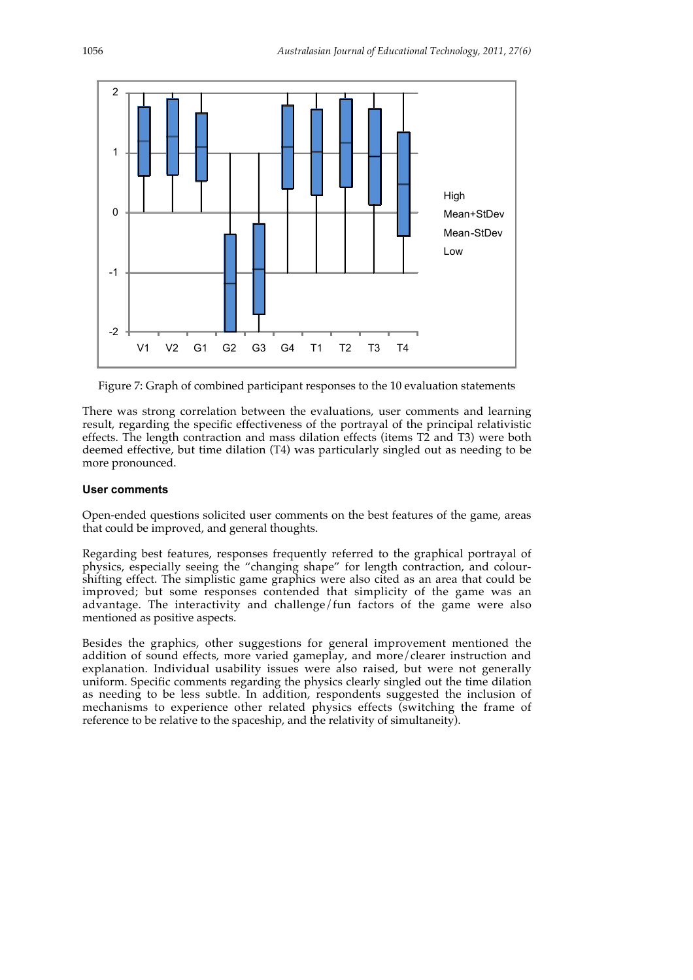

Figure 7: Graph of combined participant responses to the 10 evaluation statements

There was strong correlation between the evaluations, user comments and learning result, regarding the specific effectiveness of the portrayal of the principal relativistic effects. The length contraction and mass dilation effects (items T2 and T3) were both deemed effective, but time dilation (T4) was particularly singled out as needing to be more pronounced.

### **User comments**

Open-ended questions solicited user comments on the best features of the game, areas that could be improved, and general thoughts.

Regarding best features, responses frequently referred to the graphical portrayal of physics, especially seeing the "changing shape" for length contraction, and colourshifting effect. The simplistic game graphics were also cited as an area that could be improved; but some responses contended that simplicity of the game was an advantage. The interactivity and challenge/fun factors of the game were also mentioned as positive aspects.

Besides the graphics, other suggestions for general improvement mentioned the addition of sound effects, more varied gameplay, and more/clearer instruction and explanation. Individual usability issues were also raised, but were not generally uniform. Specific comments regarding the physics clearly singled out the time dilation as needing to be less subtle. In addition, respondents suggested the inclusion of mechanisms to experience other related physics effects (switching the frame of reference to be relative to the spaceship, and the relativity of simultaneity).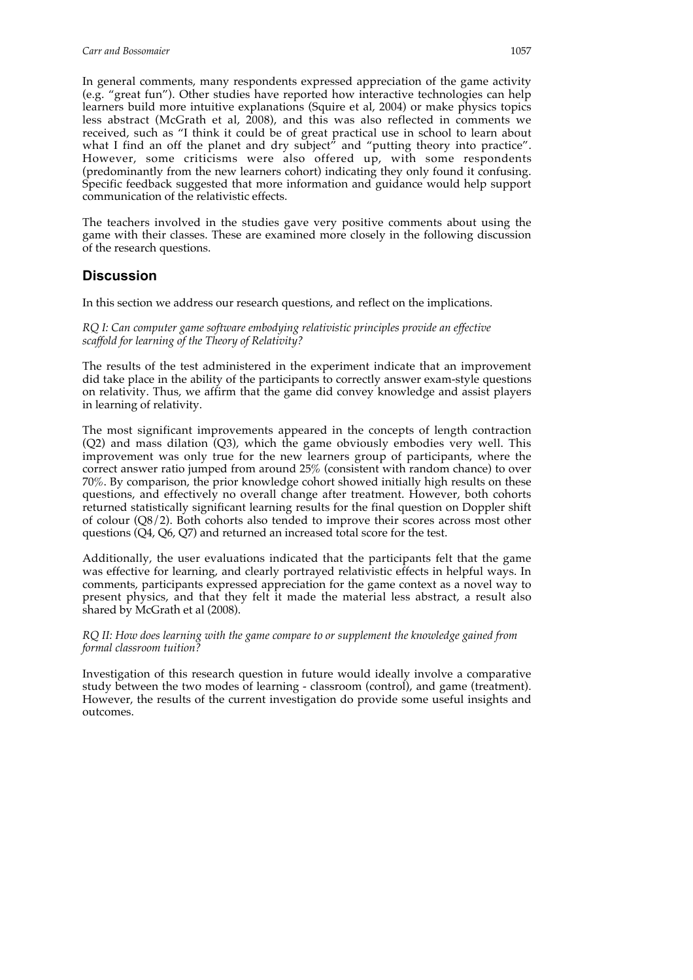In general comments, many respondents expressed appreciation of the game activity (e.g. "great fun"). Other studies have reported how interactive technologies can help learners build more intuitive explanations (Squire et al, 2004) or make physics topics less abstract (McGrath et al, 2008), and this was also reflected in comments we received, such as "I think it could be of great practical use in school to learn about what I find an off the planet and dry subject" and "putting theory into practice". However, some criticisms were also offered up, with some respondents (predominantly from the new learners cohort) indicating they only found it confusing. Specific feedback suggested that more information and guidance would help support communication of the relativistic effects.

The teachers involved in the studies gave very positive comments about using the game with their classes. These are examined more closely in the following discussion of the research questions.

### **Discussion**

In this section we address our research questions, and reflect on the implications.

*RQ I: Can computer game software embodying relativistic principles provide an effective scaffold for learning of the Theory of Relativity?*

The results of the test administered in the experiment indicate that an improvement did take place in the ability of the participants to correctly answer exam-style questions on relativity. Thus, we affirm that the game did convey knowledge and assist players in learning of relativity.

The most significant improvements appeared in the concepts of length contraction (Q2) and mass dilation (Q3), which the game obviously embodies very well. This improvement was only true for the new learners group of participants, where the correct answer ratio jumped from around 25% (consistent with random chance) to over 70%. By comparison, the prior knowledge cohort showed initially high results on these questions, and effectively no overall change after treatment. However, both cohorts returned statistically significant learning results for the final question on Doppler shift of colour (Q8/2). Both cohorts also tended to improve their scores across most other questions (Q4, Q6, Q7) and returned an increased total score for the test.

Additionally, the user evaluations indicated that the participants felt that the game was effective for learning, and clearly portrayed relativistic effects in helpful ways. In comments, participants expressed appreciation for the game context as a novel way to present physics, and that they felt it made the material less abstract, a result also shared by McGrath et al (2008).

*RQ II: How does learning with the game compare to or supplement the knowledge gained from formal classroom tuition?*

Investigation of this research question in future would ideally involve a comparative study between the two modes of learning - classroom (control), and game (treatment). However, the results of the current investigation do provide some useful insights and outcomes.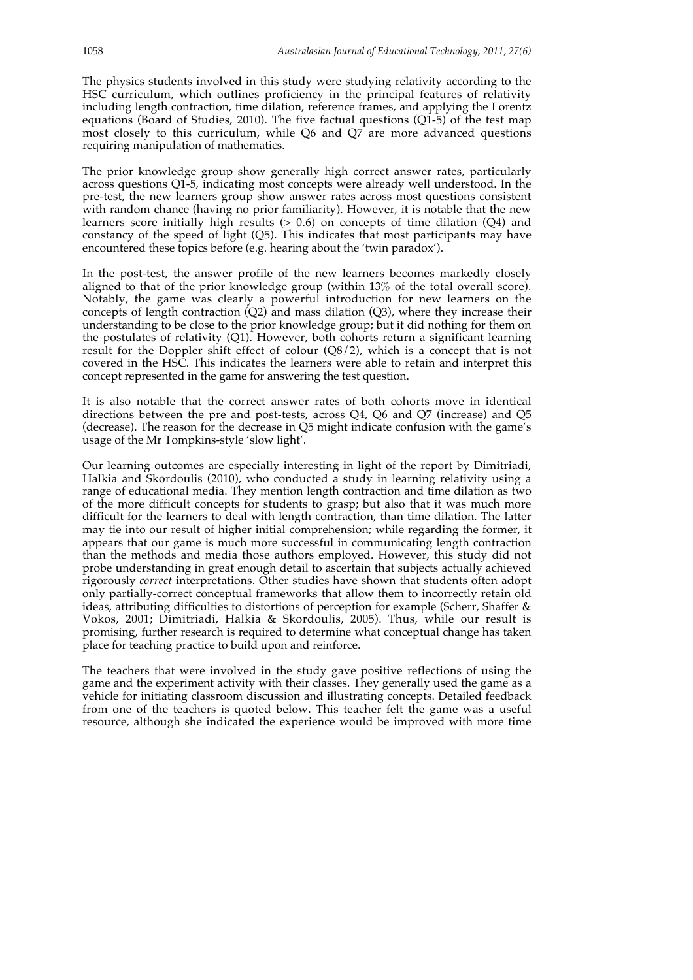The physics students involved in this study were studying relativity according to the HSC curriculum, which outlines proficiency in the principal features of relativity including length contraction, time dilation, reference frames, and applying the Lorentz equations (Board of Studies, 2010). The five factual questions (Q1-5) of the test map most closely to this curriculum, while Q6 and Q7 are more advanced questions requiring manipulation of mathematics.

The prior knowledge group show generally high correct answer rates, particularly across questions Q1-5, indicating most concepts were already well understood. In the pre-test, the new learners group show answer rates across most questions consistent with random chance (having no prior familiarity). However, it is notable that the new learners score initially high results  $(> 0.6)$  on concepts of time dilation  $(Q4)$  and constancy of the speed of light (Q5). This indicates that most participants may have encountered these topics before (e.g. hearing about the 'twin paradox').

In the post-test, the answer profile of the new learners becomes markedly closely aligned to that of the prior knowledge group (within 13% of the total overall score). Notably, the game was clearly a powerful introduction for new learners on the concepts of length contraction  $(Q2)$  and mass dilation  $(Q3)$ , where they increase their understanding to be close to the prior knowledge group; but it did nothing for them on the postulates of relativity (Q1). However, both cohorts return a significant learning result for the Doppler shift effect of colour (Q8/2), which is a concept that is not covered in the HSC. This indicates the learners were able to retain and interpret this concept represented in the game for answering the test question.

It is also notable that the correct answer rates of both cohorts move in identical directions between the pre and post-tests, across Q4, Q6 and Q7 (increase) and Q5 (decrease). The reason for the decrease in Q5 might indicate confusion with the game's usage of the Mr Tompkins-style 'slow light'.

Our learning outcomes are especially interesting in light of the report by Dimitriadi, Halkia and Skordoulis (2010), who conducted a study in learning relativity using a range of educational media. They mention length contraction and time dilation as two of the more difficult concepts for students to grasp; but also that it was much more difficult for the learners to deal with length contraction, than time dilation. The latter may tie into our result of higher initial comprehension; while regarding the former, it appears that our game is much more successful in communicating length contraction than the methods and media those authors employed. However, this study did not probe understanding in great enough detail to ascertain that subjects actually achieved rigorously *correct* interpretations. Other studies have shown that students often adopt only partially-correct conceptual frameworks that allow them to incorrectly retain old ideas, attributing difficulties to distortions of perception for example (Scherr, Shaffer & Vokos, 2001; Dimitriadi, Halkia & Skordoulis, 2005). Thus, while our result is promising, further research is required to determine what conceptual change has taken place for teaching practice to build upon and reinforce.

The teachers that were involved in the study gave positive reflections of using the game and the experiment activity with their classes. They generally used the game as a vehicle for initiating classroom discussion and illustrating concepts. Detailed feedback from one of the teachers is quoted below. This teacher felt the game was a useful resource, although she indicated the experience would be improved with more time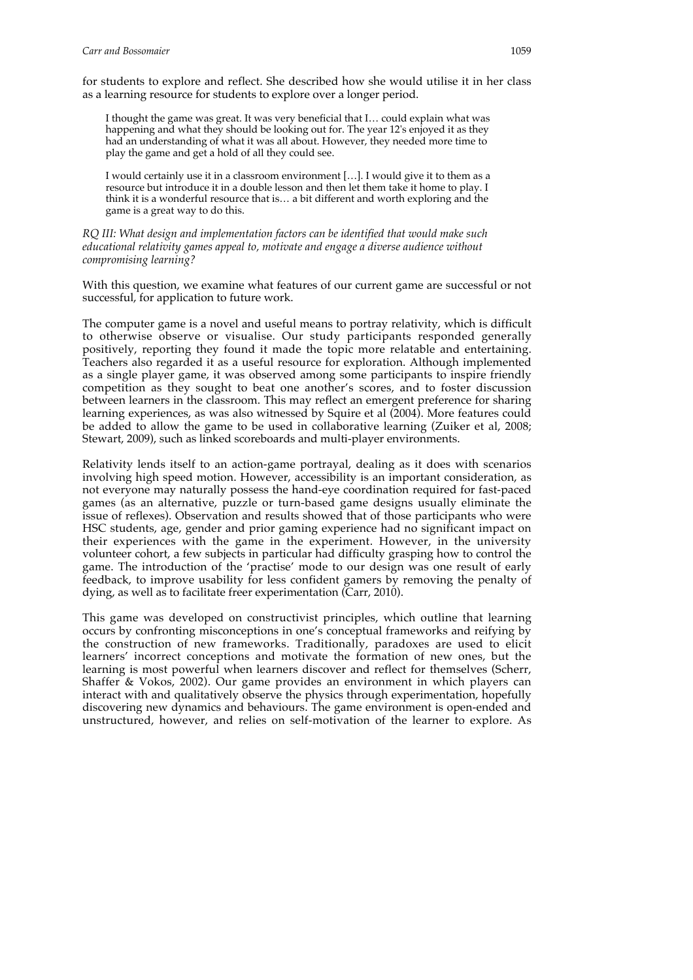for students to explore and reflect. She described how she would utilise it in her class as a learning resource for students to explore over a longer period.

I thought the game was great. It was very beneficial that I… could explain what was happening and what they should be looking out for. The year 12's enjoyed it as they had an understanding of what it was all about. However, they needed more time to play the game and get a hold of all they could see.

I would certainly use it in a classroom environment […]. I would give it to them as a resource but introduce it in a double lesson and then let them take it home to play. I think it is a wonderful resource that is… a bit different and worth exploring and the game is a great way to do this.

*RQ III: What design and implementation factors can be identified that would make such educational relativity games appeal to, motivate and engage a diverse audience without compromising learning?*

With this question, we examine what features of our current game are successful or not successful, for application to future work.

The computer game is a novel and useful means to portray relativity, which is difficult to otherwise observe or visualise. Our study participants responded generally positively, reporting they found it made the topic more relatable and entertaining. Teachers also regarded it as a useful resource for exploration. Although implemented as a single player game, it was observed among some participants to inspire friendly competition as they sought to beat one another's scores, and to foster discussion between learners in the classroom. This may reflect an emergent preference for sharing learning experiences, as was also witnessed by Squire et al (2004). More features could be added to allow the game to be used in collaborative learning (Zuiker et al, 2008; Stewart, 2009), such as linked scoreboards and multi-player environments.

Relativity lends itself to an action-game portrayal, dealing as it does with scenarios involving high speed motion. However, accessibility is an important consideration, as not everyone may naturally possess the hand-eye coordination required for fast-paced games (as an alternative, puzzle or turn-based game designs usually eliminate the issue of reflexes). Observation and results showed that of those participants who were HSC students, age, gender and prior gaming experience had no significant impact on their experiences with the game in the experiment. However, in the university volunteer cohort, a few subjects in particular had difficulty grasping how to control the game. The introduction of the 'practise' mode to our design was one result of early feedback, to improve usability for less confident gamers by removing the penalty of dying, as well as to facilitate freer experimentation (Carr, 2010).

This game was developed on constructivist principles, which outline that learning occurs by confronting misconceptions in one's conceptual frameworks and reifying by the construction of new frameworks. Traditionally, paradoxes are used to elicit learners' incorrect conceptions and motivate the formation of new ones, but the learning is most powerful when learners discover and reflect for themselves (Scherr, Shaffer & Vokos, 2002). Our game provides an environment in which players can interact with and qualitatively observe the physics through experimentation, hopefully discovering new dynamics and behaviours. The game environment is open-ended and unstructured, however, and relies on self-motivation of the learner to explore. As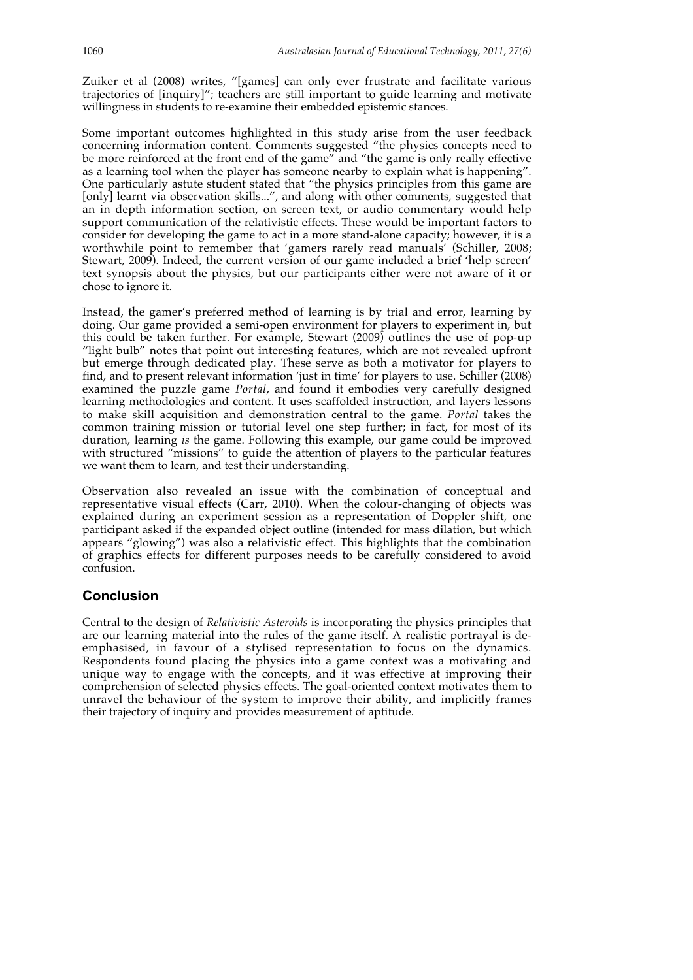Zuiker et al (2008) writes, "[games] can only ever frustrate and facilitate various trajectories of [inquiry]"; teachers are still important to guide learning and motivate willingness in students to re-examine their embedded epistemic stances.

Some important outcomes highlighted in this study arise from the user feedback concerning information content. Comments suggested "the physics concepts need to be more reinforced at the front end of the game<sup>"</sup> and "the game is only really effective as a learning tool when the player has someone nearby to explain what is happening". One particularly astute student stated that "the physics principles from this game are [only] learnt via observation skills...", and along with other comments, suggested that an in depth information section, on screen text, or audio commentary would help support communication of the relativistic effects. These would be important factors to consider for developing the game to act in a more stand-alone capacity; however, it is a worthwhile point to remember that 'gamers rarely read manuals' (Schiller, 2008; Stewart, 2009). Indeed, the current version of our game included a brief 'help screen' text synopsis about the physics, but our participants either were not aware of it or chose to ignore it.

Instead, the gamer's preferred method of learning is by trial and error, learning by doing. Our game provided a semi-open environment for players to experiment in, but this could be taken further. For example, Stewart (2009) outlines the use of pop-up "light bulb" notes that point out interesting features, which are not revealed upfront but emerge through dedicated play. These serve as both a motivator for players to find, and to present relevant information 'just in time' for players to use. Schiller (2008) examined the puzzle game *Portal*, and found it embodies very carefully designed learning methodologies and content. It uses scaffolded instruction, and layers lessons to make skill acquisition and demonstration central to the game. *Portal* takes the common training mission or tutorial level one step further; in fact, for most of its duration, learning *is* the game. Following this example, our game could be improved with structured "missions" to guide the attention of players to the particular features we want them to learn, and test their understanding.

Observation also revealed an issue with the combination of conceptual and representative visual effects (Carr, 2010). When the colour-changing of objects was explained during an experiment session as a representation of Doppler shift, one participant asked if the expanded object outline (intended for mass dilation, but which appears "glowing") was also a relativistic effect. This highlights that the combination of graphics effects for different purposes needs to be carefully considered to avoid confusion.

## **Conclusion**

Central to the design of *Relativistic Asteroids* is incorporating the physics principles that are our learning material into the rules of the game itself. A realistic portrayal is deemphasised, in favour of a stylised representation to focus on the dynamics. Respondents found placing the physics into a game context was a motivating and unique way to engage with the concepts, and it was effective at improving their comprehension of selected physics effects. The goal-oriented context motivates them to unravel the behaviour of the system to improve their ability, and implicitly frames their trajectory of inquiry and provides measurement of aptitude.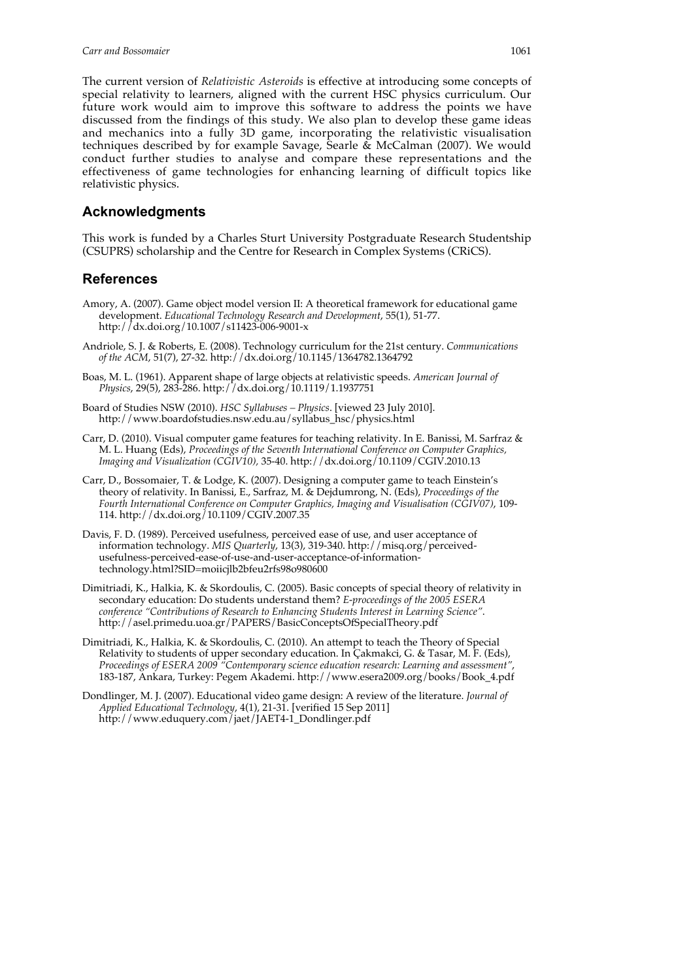The current version of *Relativistic Asteroids* is effective at introducing some concepts of special relativity to learners, aligned with the current HSC physics curriculum. Our future work would aim to improve this software to address the points we have discussed from the findings of this study. We also plan to develop these game ideas and mechanics into a fully 3D game, incorporating the relativistic visualisation techniques described by for example Savage, Searle & McCalman (2007). We would conduct further studies to analyse and compare these representations and the effectiveness of game technologies for enhancing learning of difficult topics like relativistic physics.

### **Acknowledgments**

This work is funded by a Charles Sturt University Postgraduate Research Studentship (CSUPRS) scholarship and the Centre for Research in Complex Systems (CRiCS).

## **References**

- Amory, A. (2007). Game object model version II: A theoretical framework for educational game development. *Educational Technology Research and Development*, 55(1), 51-77. http://dx.doi.org/10.1007/s11423-006-9001-x
- Andriole, S. J. & Roberts, E. (2008). Technology curriculum for the 21st century. *Communications of the ACM*, 51(7), 27-32. http://dx.doi.org/10.1145/1364782.1364792
- Boas, M. L. (1961). Apparent shape of large objects at relativistic speeds. *American Journal of Physics*, 29(5), 283-286. http://dx.doi.org/10.1119/1.1937751
- Board of Studies NSW (2010). *HSC Syllabuses Physics*. [viewed 23 July 2010]. http://www.boardofstudies.nsw.edu.au/syllabus\_hsc/physics.html
- Carr, D. (2010). Visual computer game features for teaching relativity. In E. Banissi, M. Sarfraz & M. L. Huang (Eds), *Proceedings of the Seventh International Conference on Computer Graphics, Imaging and Visualization (CGIV10),* 35-40. http://dx.doi.org/10.1109/CGIV.2010.13
- Carr, D., Bossomaier, T. & Lodge, K. (2007). Designing a computer game to teach Einstein's theory of relativity. In Banissi, E., Sarfraz, M. & Dejdumrong, N. (Eds), *Proceedings of the Fourth International Conference on Computer Graphics, Imaging and Visualisation (CGIV07)*, 109- 114. http://dx.doi.org/10.1109/CGIV.2007.35
- Davis, F. D. (1989). Perceived usefulness, perceived ease of use, and user acceptance of information technology. *MIS Quarterly*, 13(3), 319-340. http://misq.org/perceivedusefulness-perceived-ease-of-use-and-user-acceptance-of-informationtechnology.html?SID=moiicjlb2bfeu2rfs98o980600
- Dimitriadi, K., Halkia, K. & Skordoulis, C. (2005). Basic concepts of special theory of relativity in secondary education: Do students understand them? *E-proceedings of the 2005 ESERA conference "Contributions of Research to Enhancing Students Interest in Learning Science"*. http://asel.primedu.uoa.gr/PAPERS/BasicConceptsOfSpecialTheory.pdf
- Dimitriadi, K., Halkia, K. & Skordoulis, C. (2010). An attempt to teach the Theory of Special Relativity to students of upper secondary education. In Çakmakci, G. & Tasar, M. F. (Eds), *Proceedings of ESERA 2009 "Contemporary science education research: Learning and assessment"*, 183-187, Ankara, Turkey: Pegem Akademi. http://www.esera2009.org/books/Book\_4.pdf
- Dondlinger, M. J. (2007). Educational video game design: A review of the literature. *Journal of Applied Educational Technology*, 4(1), 21-31. [verified 15 Sep 2011] http://www.eduquery.com/jaet/JAET4-1\_Dondlinger.pdf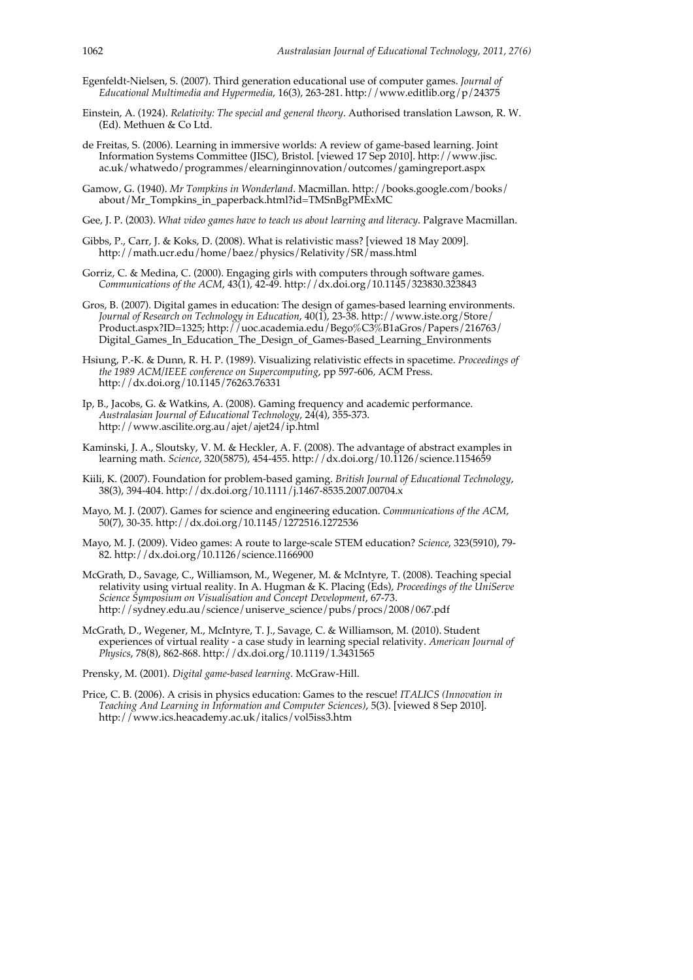- Egenfeldt-Nielsen, S. (2007). Third generation educational use of computer games. *Journal of Educational Multimedia and Hypermedia*, 16(3), 263-281. http://www.editlib.org/p/24375
- Einstein, A. (1924). *Relativity: The special and general theory*. Authorised translation Lawson, R. W. (Ed). Methuen & Co Ltd.
- de Freitas, S. (2006). Learning in immersive worlds: A review of game-based learning. Joint Information Systems Committee (JISC), Bristol. [viewed 17 Sep 2010]. http://www.jisc. ac.uk/whatwedo/programmes/elearninginnovation/outcomes/gamingreport.aspx
- Gamow, G. (1940). *Mr Tompkins in Wonderland*. Macmillan. http://books.google.com/books/ about/Mr\_Tompkins\_in\_paperback.html?id=TMSnBgPMExMC
- Gee, J. P. (2003). *What video games have to teach us about learning and literacy*. Palgrave Macmillan.
- Gibbs, P., Carr, J. & Koks, D. (2008). What is relativistic mass? [viewed 18 May 2009]. http://math.ucr.edu/home/baez/physics/Relativity/SR/mass.html
- Gorriz, C. & Medina, C. (2000). Engaging girls with computers through software games. *Communications of the ACM*, 43(1), 42-49. http://dx.doi.org/10.1145/323830.323843
- Gros, B. (2007). Digital games in education: The design of games-based learning environments. *Journal of Research on Technology in Education*, 40(1), 23-38. http://www.iste.org/Store/ Product.aspx?ID=1325; http://uoc.academia.edu/Bego%C3%B1aGros/Papers/216763/ Digital Games In Education The Design of Games-Based Learning Environments
- Hsiung, P.-K. & Dunn, R. H. P. (1989). Visualizing relativistic effects in spacetime. *Proceedings of the 1989 ACM/IEEE conference on Supercomputing*, pp 597-606*,* ACM Press. http://dx.doi.org/10.1145/76263.76331
- Ip, B., Jacobs, G. & Watkins, A. (2008). Gaming frequency and academic performance. *Australasian Journal of Educational Technology*, 24(4), 355-373. http://www.ascilite.org.au/ajet/ajet24/ip.html
- Kaminski, J. A., Sloutsky, V. M. & Heckler, A. F. (2008). The advantage of abstract examples in learning math. *Science*, 320(5875), 454-455. http://dx.doi.org/10.1126/science.1154659
- Kiili, K. (2007). Foundation for problem-based gaming. *British Journal of Educational Technology*, 38(3), 394-404. http://dx.doi.org/10.1111/j.1467-8535.2007.00704.x
- Mayo, M. J. (2007). Games for science and engineering education. *Communications of the ACM*, 50(7), 30-35. http://dx.doi.org/10.1145/1272516.1272536
- Mayo, M. J. (2009). Video games: A route to large-scale STEM education? *Science*, 323(5910), 79- 82. http://dx.doi.org/10.1126/science.1166900
- McGrath, D., Savage, C., Williamson, M., Wegener, M. & McIntyre, T. (2008). Teaching special relativity using virtual reality. In A. Hugman & K. Placing (Eds), *Proceedings of the UniServe Science Symposium on Visualisation and Concept Development*, 67-73. http://sydney.edu.au/science/uniserve\_science/pubs/procs/2008/067.pdf
- McGrath, D., Wegener, M., McIntyre, T. J., Savage, C. & Williamson, M. (2010). Student experiences of virtual reality - a case study in learning special relativity. *American Journal of Physics*, 78(8), 862-868. http://dx.doi.org/10.1119/1.3431565
- Prensky, M. (2001). *Digital game-based learning*. McGraw-Hill.
- Price, C. B. (2006). A crisis in physics education: Games to the rescue! *ITALICS (Innovation in Teaching And Learning in Information and Computer Sciences)*, 5(3). [viewed 8 Sep 2010]. http://www.ics.heacademy.ac.uk/italics/vol5iss3.htm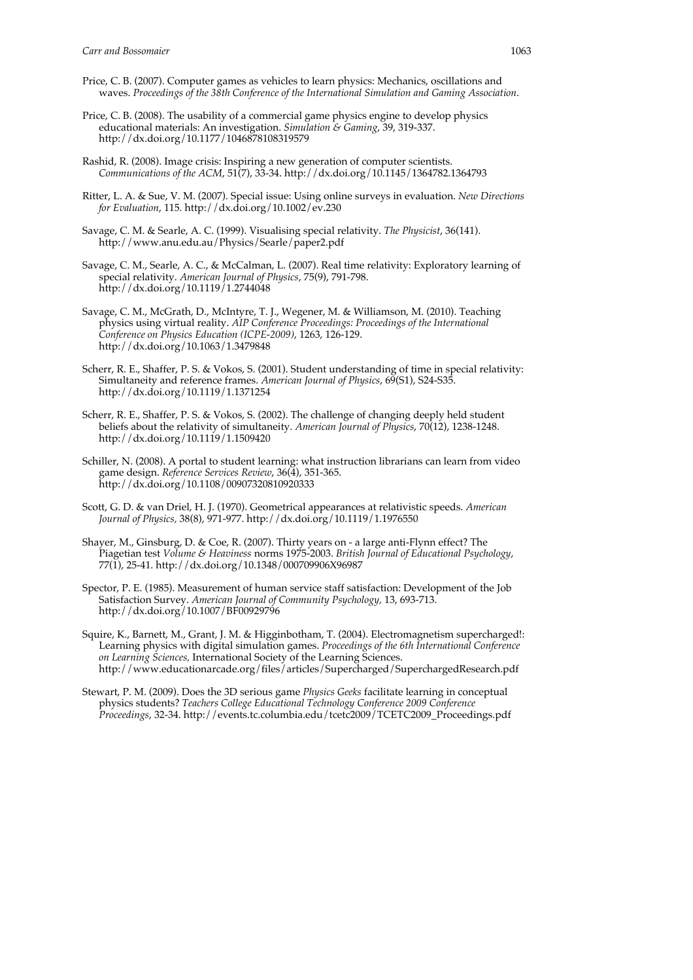- Price, C. B. (2007). Computer games as vehicles to learn physics: Mechanics, oscillations and waves. *Proceedings of the 38th Conference of the International Simulation and Gaming Association*.
- Price, C. B. (2008). The usability of a commercial game physics engine to develop physics educational materials: An investigation. *Simulation & Gaming*, 39, 319-337. http://dx.doi.org/10.1177/1046878108319579
- Rashid, R. (2008). Image crisis: Inspiring a new generation of computer scientists. *Communications of the ACM*, 51(7), 33-34. http://dx.doi.org/10.1145/1364782.1364793
- Ritter, L. A. & Sue, V. M. (2007). Special issue: Using online surveys in evaluation. *New Directions for Evaluation*, 115*.* http://dx.doi.org/10.1002/ev.230
- Savage, C. M. & Searle, A. C. (1999). Visualising special relativity. *The Physicist*, 36(141). http://www.anu.edu.au/Physics/Searle/paper2.pdf
- Savage, C. M., Searle, A. C., & McCalman, L. (2007). Real time relativity: Exploratory learning of special relativity. *American Journal of Physics*, 75(9), 791-798. http://dx.doi.org/10.1119/1.2744048
- Savage, C. M., McGrath, D., McIntyre, T. J., Wegener, M. & Williamson, M. (2010). Teaching physics using virtual reality. *AIP Conference Proceedings: Proceedings of the International Conference on Physics Education (ICPE-2009)*, 1263, 126-129. http://dx.doi.org/10.1063/1.3479848
- Scherr, R. E., Shaffer, P. S. & Vokos, S. (2001). Student understanding of time in special relativity: Simultaneity and reference frames. *American Journal of Physics*, 69(S1), S24-S35. http://dx.doi.org/10.1119/1.1371254
- Scherr, R. E., Shaffer, P. S. & Vokos, S. (2002). The challenge of changing deeply held student beliefs about the relativity of simultaneity. *American Journal of Physics*, 70(12), 1238-1248. http://dx.doi.org/10.1119/1.1509420
- Schiller, N. (2008). A portal to student learning: what instruction librarians can learn from video game design. *Reference Services Review*, 36(4), 351-365. http://dx.doi.org/10.1108/00907320810920333
- Scott, G. D. & van Driel, H. J. (1970). Geometrical appearances at relativistic speeds. *American Journal of Physics,* 38(8), 971-977. http://dx.doi.org/10.1119/1.1976550
- Shayer, M., Ginsburg, D. & Coe, R. (2007). Thirty years on a large anti-Flynn effect? The Piagetian test *Volume & Heaviness* norms 1975-2003. *British Journal of Educational Psychology*, 77(1), 25-41. http://dx.doi.org/10.1348/000709906X96987
- Spector, P. E. (1985). Measurement of human service staff satisfaction: Development of the Job Satisfaction Survey. *American Journal of Community Psychology,* 13, 693-713. http://dx.doi.org/10.1007/BF00929796
- Squire, K., Barnett, M., Grant, J. M. & Higginbotham, T. (2004). Electromagnetism supercharged!: Learning physics with digital simulation games. *Proceedings of the 6th International Conference on Learning Sciences,* International Society of the Learning Sciences. http://www.educationarcade.org/files/articles/Supercharged/SuperchargedResearch.pdf
- Stewart, P. M. (2009). Does the 3D serious game *Physics Geeks* facilitate learning in conceptual physics students? *Teachers College Educational Technology Conference 2009 Conference Proceedings*, 32-34. http://events.tc.columbia.edu/tcetc2009/TCETC2009\_Proceedings.pdf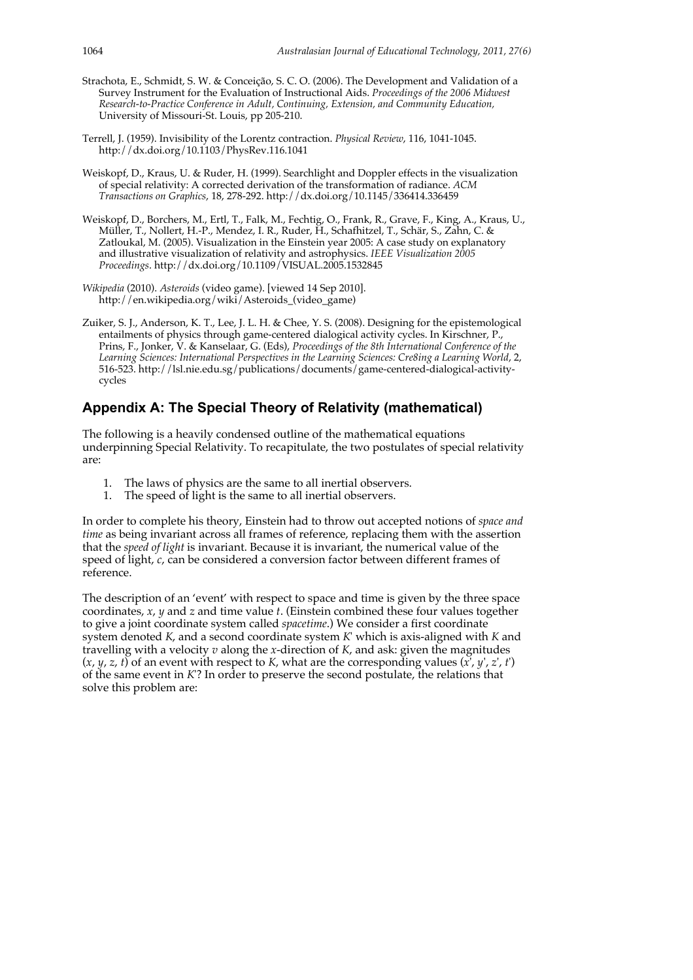- Strachota, E., Schmidt, S. W. & Conceição, S. C. O. (2006). The Development and Validation of a Survey Instrument for the Evaluation of Instructional Aids. *Proceedings of the 2006 Midwest Research-to-Practice Conference in Adult, Continuing, Extension, and Community Education,* University of Missouri-St. Louis, pp 205-210.
- Terrell, J. (1959). Invisibility of the Lorentz contraction. *Physical Review*, 116, 1041-1045. http://dx.doi.org/10.1103/PhysRev.116.1041
- Weiskopf, D., Kraus, U. & Ruder, H. (1999). Searchlight and Doppler effects in the visualization of special relativity: A corrected derivation of the transformation of radiance. *ACM Transactions on Graphics*, 18, 278-292. http://dx.doi.org/10.1145/336414.336459
- Weiskopf, D., Borchers, M., Ertl, T., Falk, M., Fechtig, O., Frank, R., Grave, F., King, A., Kraus, U., Müller, T., Nollert, H.-P., Mendez, I. R., Ruder, H., Schafhitzel, T., Schär, S., Zahn, C. & Zatloukal, M. (2005). Visualization in the Einstein year 2005: A case study on explanatory and illustrative visualization of relativity and astrophysics. *IEEE Visualization 2005 Proceedings*. http://dx.doi.org/10.1109/VISUAL.2005.1532845
- *Wikipedia* (2010). *Asteroids* (video game). [viewed 14 Sep 2010]. http://en.wikipedia.org/wiki/Asteroids\_(video\_game)
- Zuiker, S. J., Anderson, K. T., Lee, J. L. H. & Chee, Y. S. (2008). Designing for the epistemological entailments of physics through game-centered dialogical activity cycles. In Kirschner, P., Prins, F., Jonker, V. & Kanselaar, G. (Eds), *Proceedings of the 8th International Conference of the* Learning Sciences: International Perspectives in the Learning Sciences: Cre8ing a Learning World, 2, 516-523. http://lsl.nie.edu.sg/publications/documents/game-centered-dialogical-activitycycles

# **Appendix A: The Special Theory of Relativity (mathematical)**

The following is a heavily condensed outline of the mathematical equations underpinning Special Relativity. To recapitulate, the two postulates of special relativity are:

- 1. The laws of physics are the same to all inertial observers.
- 1. The speed of light is the same to all inertial observers.

In order to complete his theory, Einstein had to throw out accepted notions of *space and time* as being invariant across all frames of reference, replacing them with the assertion that the *speed of light* is invariant. Because it is invariant, the numerical value of the speed of light, *c*, can be considered a conversion factor between different frames of reference.

The description of an 'event' with respect to space and time is given by the three space coordinates, *x*, *y* and *z* and time value *t*. (Einstein combined these four values together to give a joint coordinate system called *spacetime*.) We consider a first coordinate system denoted *K*, and a second coordinate system *K*' which is axis-aligned with *K* and travelling with a velocity *v* along the *x*-direction of *K*, and ask: given the magnitudes  $(x, y, z, t)$  of an event with respect to *K*, what are the corresponding values  $(x', y', z', t')$ of the same event in *K*'? In order to preserve the second postulate, the relations that solve this problem are: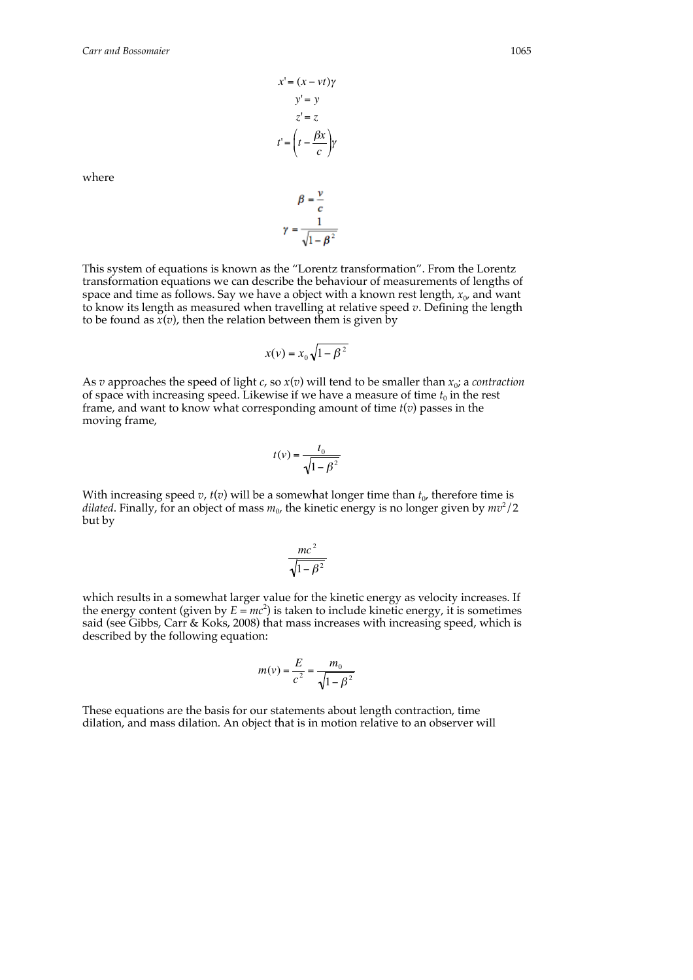*x*'= (*x* − *vt*)<sup>γ</sup> *y*'= *y z*'= *z*  $t'=\left(t-\frac{\beta x}{c}\right)$ %  $\left(t-\frac{\beta x}{c}\right)\gamma$  $\mathbf{v}$ 

where

$$
\beta = \frac{1}{c}
$$

$$
\gamma = \frac{1}{\sqrt{1 - \beta^2}}
$$

This system of equations is known as the "Lorentz transformation". From the Lorentz transformation equations we can describe the behaviour of measurements of lengths of space and time as follows. Say we have a object with a known rest length,  $x_0$ , and want to know its length as measured when travelling at relative speed *v*. Defining the length to be found as  $\dot{x}(v)$ , then the relation between them is given by

$$
x(v) = x_0 \sqrt{1 - \beta^2}
$$

As *v* approaches the speed of light *c*, so  $x(v)$  will tend to be smaller than  $x_0$ ; a *contraction* of space with increasing speed. Likewise if we have a measure of time  $t_0$  in the rest frame, and want to know what corresponding amount of time *t*(*v*) passes in the moving frame,

$$
t(v) = \frac{t_0}{\sqrt{1 - \beta^2}}
$$

With increasing speed  $v$ ,  $t(v)$  will be a somewhat longer time than  $t<sub>0</sub>$ , therefore time is dilated. Finally, for an object of mass  $m_0$ , the kinetic energy is no longer given by  $m v^2/2$ but by

$$
\frac{mc^2}{\sqrt{1-\beta^2}}
$$

said (see Gibbs, Carr & Koks, 2008) that mass increases with increasing speed, which is which results in a somewhat larger value for the kinetic energy as velocity increases. If the energy content (given by  $E = mc^2$ ) is taken to include kinetic energy, it is sometimes described by the following equation:

$$
m(v) = \frac{E}{c^2} = \frac{m_0}{\sqrt{1 - \beta^2}}
$$

These equations are the basis for our statements about length contraction, time dilation, and mass dilation. An object that is in motion relative to an observer will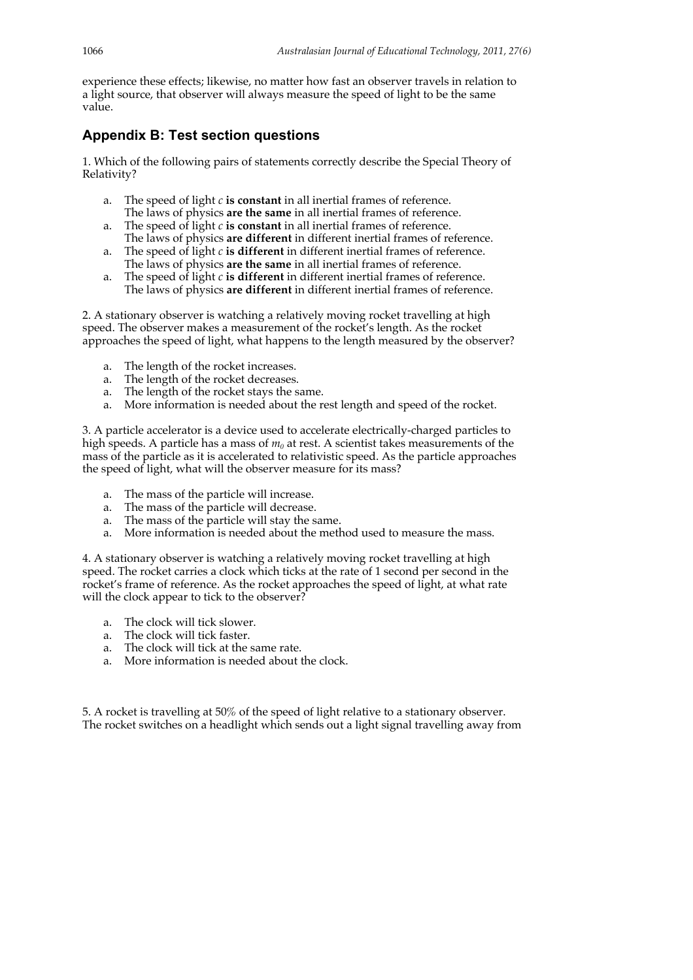experience these effects; likewise, no matter how fast an observer travels in relation to a light source, that observer will always measure the speed of light to be the same value.

# **Appendix B: Test section questions**

1. Which of the following pairs of statements correctly describe the Special Theory of Relativity?

- a. The speed of light *c* **is constant** in all inertial frames of reference. The laws of physics **are the same** in all inertial frames of reference.
- a. The speed of light *c* **is constant** in all inertial frames of reference. The laws of physics **are different** in different inertial frames of reference.
- a. The speed of light *c* **is different** in different inertial frames of reference. The laws of physics **are the same** in all inertial frames of reference.
- a. The speed of light *c* **is different** in different inertial frames of reference. The laws of physics **are different** in different inertial frames of reference.

2. A stationary observer is watching a relatively moving rocket travelling at high speed. The observer makes a measurement of the rocket's length. As the rocket approaches the speed of light, what happens to the length measured by the observer?

- a. The length of the rocket increases.
- a. The length of the rocket decreases.
- a. The length of the rocket stays the same.
- a. More information is needed about the rest length and speed of the rocket.

3. A particle accelerator is a device used to accelerate electrically-charged particles to high speeds. A particle has a mass of  $m_0$  at rest. A scientist takes measurements of the mass of the particle as it is accelerated to relativistic speed. As the particle approaches the speed of light, what will the observer measure for its mass?

- a. The mass of the particle will increase.
- a. The mass of the particle will decrease.
- a. The mass of the particle will stay the same.
- a. More information is needed about the method used to measure the mass.

4. A stationary observer is watching a relatively moving rocket travelling at high speed. The rocket carries a clock which ticks at the rate of 1 second per second in the rocket's frame of reference. As the rocket approaches the speed of light, at what rate will the clock appear to tick to the observer?

- a. The clock will tick slower.
- a. The clock will tick faster.
- a. The clock will tick at the same rate.
- a. More information is needed about the clock.

5. A rocket is travelling at 50% of the speed of light relative to a stationary observer. The rocket switches on a headlight which sends out a light signal travelling away from